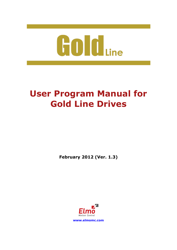

# **User Program Manual for Gold Line Drives**

**February 2012 (Ver. 1.3)**

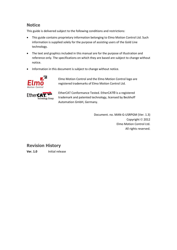### **Notice**

This guide is delivered subject to the following conditions and restrictions:

- This guide contains proprietary information belonging to Elmo Motion Control Ltd. Such information is supplied solely for the purpose of assisting users of the Gold Line technology.
- The text and graphics included in this manual are for the purpose of illustration and reference only. The specifications on which they are based are subject to change without notice.
- Information in this document is subject to change without notice.



Elmo Motion Control and the Elmo Motion Control logo are registered trademarks of Elmo Motion Control Ltd.



EtherCAT Conformance Tested. EtherCAT® is a registered trademark and patented technology, licensed by Beckhoff Automation GmbH, Germany.

> Document. no. MAN-G-USRPGM (Ver. 1.3) Copyright © 2012 Elmo Motion Control Ltd. All rights reserved.

# **Revision History**

**Ver. 1.0** Initial release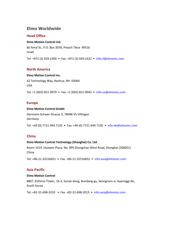### **Elmo Worldwide**

#### **Head Office**

#### **Elmo Motion Control Ltd.**

60 Amal St., P.O. Box 3078, Petach Tikva 49516 Israel

Tel: +972 (3) 929-2300 • Fax: +972 (3) 929-2322 • [info-il@elmomc.com](mailto:info-il@elmomc.com)

#### **North America**

#### **Elmo Motion Control Inc.**

42 Technology Way, Nashua, NH 03060 USA Tel: +1 (603) 821-9979 • Fax: +1 (603) 821-9943 • [info-us@elmomc.com](mailto:info-us@elmomc.com)

#### **Europe**

#### **Elmo Motion Control GmbH**

Hermann-Schwer-Strasse 3, 78048 VS-Villingen Germany

Tel: +49 (0) 7721-944 7120 • Fax: +49 (0) 7721-944 7130 • [info-de@elmomc.com](mailto:info-de@elmomc.com)

#### **China**

#### **Elmo Motion Control Technology (Shanghai) Co. Ltd.**

Room 1414, Huawen Plaza, No. 999 Zhongshan West Road, Shanghai (200051) China

Tel: +86-21-32516651 • Fax: +86-21-32516652 • [info-asia@elmomc.com](mailto:info-asia@elmomc.com)

#### **Asia Pacific**

#### **Elmo Motion Control**

#807, Kofomo Tower, 16-3, Sunae-dong, Bundang-gu, Seongnam-si, Gyeonggi-do, South Korea

Tel: +82-31-698-2010 • Fax: +82-31-698-2013 • [info-asia@elmomc.com](mailto:info-asia@elmomc.com)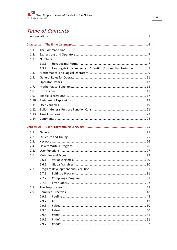# **Table of Contents**

| Chapter 1:        |        |                                                                |  |
|-------------------|--------|----------------------------------------------------------------|--|
| 1.1.              |        |                                                                |  |
| 1.2.              |        |                                                                |  |
| 1.3.              |        |                                                                |  |
|                   | 1.3.1. |                                                                |  |
|                   | 1.3.2. | Floating-Point Numbers and Scientific (Exponential) Notation 7 |  |
| 1.4.              |        |                                                                |  |
| 1.5.              |        |                                                                |  |
| 1.6.              |        |                                                                |  |
| 1.7.              |        |                                                                |  |
| 1.8.              |        |                                                                |  |
| 1.9.              |        |                                                                |  |
| 1.10.             |        |                                                                |  |
| 1.11.             |        |                                                                |  |
| 1.12.             |        |                                                                |  |
| 1.13.             |        |                                                                |  |
| 1.14.             |        |                                                                |  |
|                   |        |                                                                |  |
| <b>Chapter 2:</b> |        |                                                                |  |
| 2.1.              |        |                                                                |  |
| 2.2.              |        |                                                                |  |
| 2.3.              |        |                                                                |  |
| 2.4.              |        |                                                                |  |
| 2.5.              |        |                                                                |  |
| 2.6.              |        |                                                                |  |
|                   | 2.6.1. |                                                                |  |
|                   | 2.6.2. |                                                                |  |
| 2.7.              |        |                                                                |  |
|                   | 2.7.1. |                                                                |  |
|                   | 2.7.2. |                                                                |  |
|                   | 2.7.3. |                                                                |  |
| 2.8.              |        |                                                                |  |
| 2.9.              |        |                                                                |  |
|                   | 2.9.1. |                                                                |  |
|                   | 2.9.2. |                                                                |  |
|                   | 2.9.3. |                                                                |  |
|                   | 2.9.4. |                                                                |  |
|                   | 2.9.5. |                                                                |  |
|                   | 2.9.6. |                                                                |  |
|                   | 2.9.7. |                                                                |  |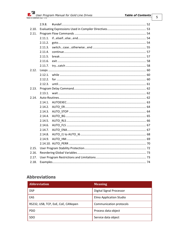| 2.9.8.  |  |  |  |
|---------|--|--|--|
| 2.10.   |  |  |  |
|         |  |  |  |
| 2.11.1. |  |  |  |
| 2.11.2. |  |  |  |
| 2.11.3. |  |  |  |
| 2.11.4. |  |  |  |
| 2.11.5. |  |  |  |
| 2.11.6. |  |  |  |
| 2.11.7. |  |  |  |
|         |  |  |  |
| 2.12.1  |  |  |  |
| 2.12.2. |  |  |  |
| 2.12.3. |  |  |  |
|         |  |  |  |
| 2.13.1. |  |  |  |
|         |  |  |  |
| 2.14.1. |  |  |  |
| 2.14.2. |  |  |  |
| 2.14.3. |  |  |  |
| 2.14.4. |  |  |  |
| 2.14.5. |  |  |  |
| 2.14.6. |  |  |  |
| 2.14.7. |  |  |  |
| 2.14.8. |  |  |  |
| 2.14.9. |  |  |  |
|         |  |  |  |
| 2.15.   |  |  |  |
| 2.16.   |  |  |  |
| 2.17.   |  |  |  |
|         |  |  |  |
|         |  |  |  |

# <span id="page-4-0"></span>**Abbreviations**

| <b>Abbreviation</b>                | <b>Meaning</b>                 |
|------------------------------------|--------------------------------|
| <b>DSP</b>                         | Digital Signal Processor       |
| EAS                                | <b>Elmo Application Studio</b> |
| RS232, USB, TCP, EoE, CoE, CANopen | Communication protocols        |
| <b>PDO</b>                         | Process data object            |
| <b>SDO</b>                         | Service data object            |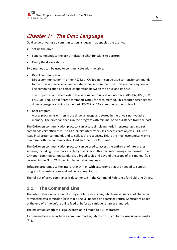# <span id="page-5-0"></span>Chapter 1: The Elmo Language

Gold servo drives use a communication language that enables the user to:

- Set up the drive.
- Send commands to the drive indicating what functions to perform.
- Query the drive's status.

Two methods can be used to communicate with the drive:

• Direct communication

Direct communication — either RS232 or CANopen — can be used to transfer commands to the drive and receive an immediate response from the drive. This method requires online communication and close cooperation between the drive and its host.

The properties and standards of the various communication interfaces (RS-232, USB, TCP, EoE, CoE) require a different command syntax for each method. This chapter describes the drive language according to the basic RS-232 or CAN communication protocol.

• User program

A user program is written in the drive language and stored in the drive's non-volatile memory. The drive can then run the program with minimal or no assistance from the host.

The CANopen communication protocol can access simple numeric interpreter get and set commands very efficiently. The CAN binary interpreter uses process data objects (PDOs) to issue interpreter commands and to collect the responses. This is the most economical way to minimize both the communication load and the drive CPU load.

The CANopen communication protocol can be used to access the entire set of interpreter services, including those inaccessible by the binary CAN interpreter, using a text format. The CANopen communication standard is a broad topic and beyond the scope of this manual (it is covered in the Elmo CANopen implementation manuals).

Software programs use the interpreter syntax, with extensions that are needed to support program flow instructions and in-line documentation.

The full set of drive commands is documented in the Command Reference for Gold Line Drives.

### <span id="page-5-1"></span>**1.1. The Command Line**

The Interpreter evaluates input strings, called *expressions*, which are sequences of characters terminated by a semicolon (;) within a line, a line feed or a carriage return. Semicolons added at the end of a line before a line feed or before a carriage return are ignored.

The maximum length of a legal expression is limited to 511 characters.

A command line may include a comment marker, which consists of two consecutive asterisks (\*\*).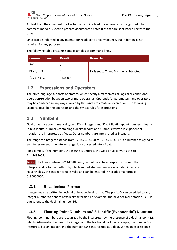All text from the comment marker to the next line feed or carriage return is ignored. The comment marker is used to prepare documented batch files that are sent later directly to the drive.

Lines can be indented in any manner for readability or convenience, but indenting is not required for any purpose.

The following table presents some examples of command lines.

| <b>Command Line</b> | <b>Result</b> | <b>Remarks</b>                            |
|---------------------|---------------|-------------------------------------------|
| $3+4$               |               |                                           |
| PX=7; PX-3          | 4             | PX is set to 7, and 3 is then subtracted. |
| $(3.2+4)/2$         | 3.600000      |                                           |

# <span id="page-6-0"></span>**1.2. Expressions and Operators**

The drive language supports operators, which specify a mathematical, logical or conditional operation/relation between two or more operands. Operands (or parameters) and operators may be combined in any way allowed by the syntax to create an expression. The following sections describe the operators and the syntax rules for expressions.

# <span id="page-6-1"></span>**1.3. Numbers**

Gold drives use two numerical types: 32-bit integers and 32-bit floating-point numbers (floats). In text inputs, numbers containing a decimal point and numbers written in exponential notation are interpreted as floats. Other numbers are interpreted as integers.

The range for integers extends from –2,147,483,648 to +2,147,483,647. If a number assigned to an integer exceeds the integer range, it is converted into a float.

For example, if the number 2147483648 is entered, the Gold drive converts this to 2.147483e09.

**Note:** The lowest integer, –2,147,483,648, cannot be entered explicitly through the interpreter due to the method by which immediate numbers are evaluated internally. Nevertheless, this integer value is valid and can be entered in hexadecimal form as 0x80000000.

### <span id="page-6-2"></span>**1.3.1. Hexadecimal Format**

Integers may be written in decimal or hexadecimal format. The prefix 0x can be added to any integer number to denote hexadecimal format. For example, the hexadecimal notation 0x10 is equivalent to the decimal number 16.

### <span id="page-6-3"></span>**1.3.2. Floating-Point Numbers and Scientific (Exponential) Notation**

Floating-point numbers are recognized by the interpreter by the presence of a decimal point (.), which distinguishes between the integer and the fractional part. For example, the number 3 is interpreted as an integer, and the number 3.0 is interpreted as a float. When an expression is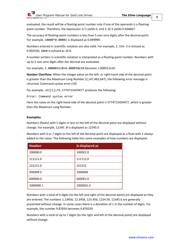evaluated, the result will be a floating-point number only if one of the operands is a floatingpoint number. Therefore, the expression 2/3 yields 0, and 2.0/3 yields 0.666667.

The accuracy of floating-point numbers is less than 5 non-zero digits after the decimal point. For example, 10000\*0.00001 is displayed as 0.099999.

Numbers entered in scientific notation are also valid. For example, 2.55e-3 is echoed as 0.002550; 10e0 is echoed as 10.0.

A number written in scientific notation is interpreted as a floating-point number. Numbers with up to 5 non-zero digits after the decimal are evaluated.

For example, 1.000001e10+0.000010e10 becomes 1.000011e10.

**Number Overflow:** When the integer value on the left- or right-hand side of the decimal point is greater than the Maximum Long Number (2,147,483,647), the following error message is returned: Command syntax error (19)

For example, >KI[1]=79.5774715459477 produces the following:

Error: Command syntax error

Here the value on the right-hand side of the decimal point is 5774715459477, which is greater than the Maximum Long Number.

#### **Examples**

Numbers (floats) with 5 digits or less to the left of the decimal point are displayed without change. For example, 12345.0 is displayed as 12345.0

Numbers with 6 or 7 digits to the left of the decimal point are displayed as a float with 1 always added to the value. The following table lists some examples of how numbers are displayed.

| <b>Number</b> | Is displayed as |
|---------------|-----------------|
| 100000.0      | 100001.0        |
| 111111.0      | 111112.0        |
| 222221.0      | 222222          |
| 999999.0      | 1000000         |
| 600000.0      | 600001.0        |
| 2000000.1     | 2000001.0       |

Numbers with a total of 6 digits (to the left and right of the decimal point) are displayed as they are entered. The numbers 1.23456, 12.3456, 123.456, 1234.56, 12345.6 are generally presented without change. In some cases there is a deviation of 1 in the number of digits. For example, the number 9.87654 becomes 9.876539.

Numbers with a total of up to 7 digits (to the right and left of the decimal point) are displayed without change.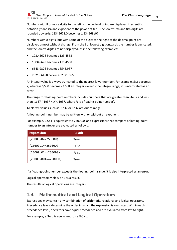Numbers with 8 or more digits to the left of the decimal point are displayed in scientific notation (mantissa and exponent of the power of ten). The lowest 7th and 8th digits are rounded upwards: 12345678.0 becomes 1.234568e07.

Numbers with 8 digits, but with some of the digits to the right of the decimal point are displayed almost without change. From the 8th lowest digit onwards the number is truncated, and the lowest digits are not displayed, as in the following examples:

- 123.45678 becomes 123.4568
- 1.2345678 becomes 1.234568
- 6543.9876 becomes 6543.987
- 2321.66458 becomes 2321.665

An integer value is always truncated to the nearest lower number. For example, 5/2 becomes 2, whereas 5/2.0 becomes 2.5. If an integer exceeds the integer range, it is interpreted as an error.

The range for floating-point numbers includes numbers that are greater than -1e37 and less than 1e37 (-1e37 < *N* < 1e37, where *N* is a floating-point number).

To clarify, values such as -1e37 or 1e37 are out of range.

A floating-point number may be written with or without an exponent.

For example, 2.5e4 is equivalent to 25000.0, and expressions that compare a floating-point number to an integer are evaluated as follows.

| <b>Expression</b>      | <b>Result</b> |
|------------------------|---------------|
| $(25000.0 = 250000)$   | True          |
| $(25000.1 = 250000)$   | False         |
| $(25000.01 = 250000)$  | False         |
| $(25000.001 = 250000)$ | True          |

If a floating-point number exceeds the floating-point range, it is also interpreted as an error.

Logical operators yield 0 or 1 as a result.

The results of logical operations are integers.

### <span id="page-8-0"></span>**1.4. Mathematical and Logical Operators**

Expressions may contain any combination of arithmetic, relational and logical operators. Precedence levels determine the order in which the expression is evaluated. Within each precedence level, operators have equal precedence and are evaluated from left to right.

For example,  $a * b/c$  is equivalent to  $(a * b)/c$ .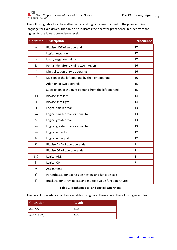The following table lists the mathematical and logical operators used in the programming language for Gold drives. The table also indicates the operator precedence in order from the highest to the lowest precedence level.

| <b>Operator</b>                                                                                                                                                                          | <b>Description</b>                                              | <b>Precedence</b> |
|------------------------------------------------------------------------------------------------------------------------------------------------------------------------------------------|-----------------------------------------------------------------|-------------------|
| $\sim$                                                                                                                                                                                   | Bitwise NOT of an operand                                       | 17                |
| Ţ                                                                                                                                                                                        | Logical negation                                                | 17                |
|                                                                                                                                                                                          | Unary negation (minus)                                          | 17                |
| %                                                                                                                                                                                        | Remainder after dividing two integers                           | 16                |
| $\ast$                                                                                                                                                                                   | Multiplication of two operands                                  | 16                |
| T                                                                                                                                                                                        | Division of the left operand by the right operand               | 16                |
| $\ddot{}$                                                                                                                                                                                | Addition of two operands                                        | 15                |
| $\overline{\phantom{a}}$                                                                                                                                                                 | Subtraction of the right operand from the left operand          | 15                |
| <<                                                                                                                                                                                       | <b>Bitwise shift left</b>                                       | 14                |
| >                                                                                                                                                                                        | Bitwise shift right                                             | 14                |
| $\,<\,$                                                                                                                                                                                  | Logical smaller than                                            | 13                |
| <=                                                                                                                                                                                       | Logical smaller than or equal to                                | 13                |
| $\, > \,$                                                                                                                                                                                | Logical greater than                                            | 13                |
| $>=$                                                                                                                                                                                     | Logical greater than or equal to                                | 13                |
| $==$                                                                                                                                                                                     | Logical equality                                                | 12                |
| $!=$                                                                                                                                                                                     | Logical not equal                                               | 12                |
| &                                                                                                                                                                                        | Bitwise AND of two operands                                     | 11                |
|                                                                                                                                                                                          | Bitwise OR of two operands                                      | 9                 |
| &&                                                                                                                                                                                       | Logical AND                                                     | 8                 |
| $\mathbf{  }$                                                                                                                                                                            | Logical OR                                                      | $\overline{7}$    |
| $=$                                                                                                                                                                                      | Assignment                                                      |                   |
| $\left( \right)$                                                                                                                                                                         | Parentheses, for expression nesting and function calls          |                   |
| $[] \centering \includegraphics[width=0.47\textwidth]{images/TrDiM-Architecture.png} \caption{The 3D (top) and 4D (bottom) are shown in the left and right.} \label{TrDiM-Architecture}$ | Brackets, for array indices and multiple value function returns |                   |

#### **Table 1: Mathematical and Logical Operators**

The default precedence can be overridden using parentheses, as in the following examples:

| <b>Operation</b> | <b>Result</b> |
|------------------|---------------|
| $A=3/2/2$        | $A=0$         |
| $A=3/(2/2)$      | $A=3$         |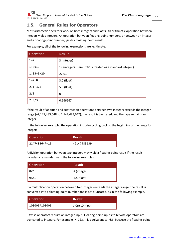

# <span id="page-10-0"></span>**1.5. General Rules for Operators**

Most arithmetic operators work on both integers and floats. An arithmetic operation between integers yields integers. An operation between floating-point numbers, or between an integer and a floating-point number, yields a floating-point result.

| <b>Operation</b> | <b>Result</b>                                              |
|------------------|------------------------------------------------------------|
| $1+2$            | 3 (integer)                                                |
| 1+0x10           | 17 (integer) (Here 0x10 is treated as a standard integer.) |
| 1.03+0x20        | 22.03                                                      |
| $1+2.0$          | 3.0 (float)                                                |
| $2.1 + 3.4$      | 5.5 (float)                                                |
| 2/3              | 0                                                          |
| 2.0/3            | 0.666667                                                   |

For example, all of the following expressions are legitimate.

If the result of addition and subtraction operations between two integers exceeds the integer range (–2,147,483,648 to 2,147,483,647), the result is truncated, and the type remains an integer.

In the following example, the operation includes cycling back to the beginning of the range for integers.

| <b>Operation</b> | <b>Result</b> |
|------------------|---------------|
| 2147483647+10    | -2147483639   |

A division operation between two integers may yield a floating-point result if the result includes a remainder, as in the following examples.

| Operation | <b>Result</b> |
|-----------|---------------|
|           | 4 (integer)   |
| 9/2.0     | 4.5 (float)   |

If a multiplication operation between two integers exceeds the integer range, the result is converted into a floating-point number and is not truncated, as in the following example.

| <b>Operation</b> | <b>Result</b>           |
|------------------|-------------------------|
| 100000 * 100000  | $\vert$ 1.0e+10 (float) |

Bitwise operators require an integer input. Floating-point inputs to bitwise operators are truncated to integers. For example, 7.9&3.4 is equivalent to 7&3, because the floating-point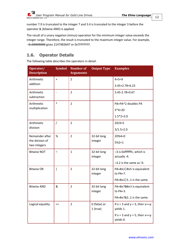

number 7.9 is truncated to the integer 7 and 3.4 is truncated to the integer 3 before the operator & (bitwise AND) is applied.

The result of a unary negation (minus) operation for the minimum integer value exceeds the integer range. Therefore, the result is truncated to the maximum integer value. For example, -0x80000000 gives 2147483647 or 0x7FFFFFFF.

# <span id="page-11-0"></span>**1.6. Operator Details**

The following table describes the operators in detail.

| Operator/<br><b>Description</b> | <b>Symbol</b>  | <b>Number of</b><br><b>Arguments</b> | <b>Output Type</b>         | <b>Examples</b>                                     |
|---------------------------------|----------------|--------------------------------------|----------------------------|-----------------------------------------------------|
| Arithmetic                      | $\ddot{}$      | 2                                    |                            | $4 + 5 = 9$                                         |
| addition                        |                |                                      |                            | $3.45 + 2.78 = 6.23$                                |
| Arithmetic<br>subtraction       | $\overline{a}$ | $\overline{2}$                       |                            | 3.45-2.78=0.67                                      |
| Arithmetic                      | $\ast$         | $\overline{2}$                       |                            | PA=PA*2 doubles PA                                  |
| multiplication                  |                |                                      |                            | $5*4=20$                                            |
|                                 |                |                                      |                            | $1.5*2=3.0$                                         |
| Arithmetic                      | $\prime$       | $\overline{2}$                       |                            | $20/4=5$                                            |
| division                        |                |                                      |                            | $3/1.5=2.0$                                         |
| Remainder after                 | %              | $\overline{2}$                       | 32-bit long                | $20%4=0$                                            |
| the division of<br>two integers |                |                                      | integer                    | $5%2=1$                                             |
| <b>Bitwise NOT</b>              | $\sim$         | $\mathbf{1}$                         | 32-bit long                | ~3 is 0xfffffffc, which is                          |
|                                 |                |                                      | integer                    | actually -4.                                        |
|                                 |                |                                      |                            | $\sim$ 3.2 is the same as !3.                       |
| <b>Bitwise OR</b>               |                | $\overline{2}$                       | 32-bit long<br>integer     | $PA = 0 \times 2$   0x5 is equivalent<br>to PA=7.   |
|                                 |                |                                      |                            | $PA=0x2$   5.1 is the same.                         |
| <b>Bitwise AND</b>              | &              | $\overline{2}$                       | 32-bit long<br>integer     | PA=0x7&0x3 is equivalent<br>to $PA=3$ .             |
|                                 |                |                                      |                            | PA=0x7&3.1 is the same.                             |
| Logical equality                | $==$           | $\overline{2}$                       | 0 (false) or<br>$1$ (true) | If $x = 3$ and $y = 3$ , then $x == y$<br>yields 1. |
|                                 |                |                                      |                            | If $x = 3$ and $y = 5$ , then $x == y$<br>yields 0. |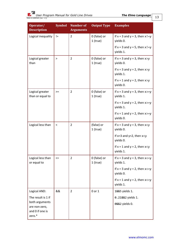| Operator/<br><b>Description</b>                              | <b>Symbol</b> | <b>Number</b> of<br><b>Arguments</b> | <b>Output Type</b>         | <b>Examples</b>                                      |
|--------------------------------------------------------------|---------------|--------------------------------------|----------------------------|------------------------------------------------------|
| Logical inequality                                           | $!=$          | $\overline{2}$                       | 0 (false) or<br>$1$ (true) | If $x = 3$ and $y = 3$ , then $x! = y$<br>yields 0.  |
|                                                              |               |                                      |                            | If $x = 3$ and $y = 5$ , then $x! = y$<br>yields 1.  |
| Logical greater<br>than                                      | >             | 2                                    | 0 (false) or<br>$1$ (true) | If $x = 3$ and $y = 3$ , then $x > y$<br>yields 0.   |
|                                                              |               |                                      |                            | If $x = 3$ and $y = 2$ , then $x > y$<br>yields 1.   |
|                                                              |               |                                      |                            | If $x = 1$ and $y = 2$ , then $x > y$<br>yields 0.   |
| Logical greater<br>than or equal to                          | $>=$          | $\overline{2}$                       | 0 (false) or<br>$1$ (true) | If $x = 3$ and $y = 3$ , then $x \ge y$<br>yields 1. |
|                                                              |               |                                      |                            | If $x = 3$ and $y = 2$ , then $x \ge y$<br>yields 1. |
|                                                              |               |                                      |                            | If $x = 1$ and $y = 2$ , then $x \ge y$<br>yields 0. |
| Logical less than                                            | $\,<$         | $\overline{2}$                       | (false) or<br>$1$ (true)   | If $x = 3$ and $y = 3$ , then $x < y$<br>yields 0.   |
|                                                              |               |                                      |                            | If $x=3$ and $y=2$ , then $x < y$<br>yields 0.       |
|                                                              |               |                                      |                            | If $x = 1$ and $y = 2$ , then $x < y$<br>yields 1.   |
| Logical less than<br>or equal to                             | $\leq$        | 2                                    | 0 (false) or<br>$1$ (true) | If $x = 3$ and $y = 3$ , then $x \le y$<br>yields 1. |
|                                                              |               |                                      |                            | If $x = 3$ and $y = 2$ , then $x \le y$<br>yields 0. |
|                                                              |               |                                      |                            | If $x = 1$ and $y = 2$ , then $x \le y$<br>yields 1. |
| Logical AND:                                                 | &&            | 2                                    | 0 or 1                     | 1&&5 yields 1.                                       |
| The result is 1 if                                           |               |                                      |                            | 0.21&&2 yields 1.                                    |
| both arguments<br>are non-zero,<br>and 0 if one is<br>zero.* |               |                                      |                            | 0&&2 yields 0.                                       |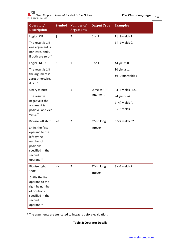| Operator/<br><b>Description</b>                                                                                                               | <b>Symbol</b>            | <b>Number</b> of<br><b>Arguments</b> | <b>Output Type</b>     | <b>Examples</b>                                                               |
|-----------------------------------------------------------------------------------------------------------------------------------------------|--------------------------|--------------------------------------|------------------------|-------------------------------------------------------------------------------|
| Logical OR<br>The result is 1 if<br>one argument is<br>non-zero, and 0<br>if both are zero.*                                                  | $\vert \vert$            | $\overline{2}$                       | 0 or 1                 | $1  0$ yields 1.<br>0     0 yields 0.                                         |
| Logical NOT:<br>The result is 1 if<br>the argument is<br>zero; otherwise,<br>it is $0.*$                                                      | Ţ                        | $\mathbf{1}$                         | 0 or 1                 | !4 yields 0.<br>! 0 yields 1.<br>!0.0004 yields 1.                            |
| Unary minus:<br>The result is<br>negative if the<br>argument is<br>positive, and vice<br>versa.*                                              | $\overline{\phantom{a}}$ | $\mathbf{1}$                         | Same as<br>argument    | $-4.5$ yields $-4.5$ .<br>-4 yields -4.<br>$(-4)$ yields 4.<br>-5+5 yields 0. |
| Bitwise left shift:<br>Shifts the first<br>operand to the<br>left by the<br>number of<br>positions<br>specified in the<br>second<br>operand.* | <<                       | $\overline{2}$                       | 32-bit long<br>Integer | 8<<2 yields 32.                                                               |
| Bitwise right<br>shift:<br>Shifts the first<br>operand to the<br>right by number<br>of positions<br>specified in the<br>second<br>operand.*   | $\gt$                    | $\overline{2}$                       | 32-bit long<br>integer | 8>>2 yields 2.                                                                |

\* The arguments are truncated to integers before evaluation.

#### **Table 2: Operator Details**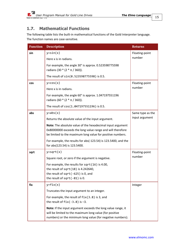# <span id="page-14-0"></span>**1.7. Mathematical Functions**

The following table lists the built-in mathematical functions of the Gold Interpreter language. The function names are case-sensitive.

| <b>Function</b> | <b>Description</b>                                                                                                                                                                     | <b>Returns</b>   |
|-----------------|----------------------------------------------------------------------------------------------------------------------------------------------------------------------------------------|------------------|
| sin             | $y = sin(x)$                                                                                                                                                                           | Floating-point   |
|                 | Here x is in radians.                                                                                                                                                                  | number           |
|                 | For example, the angle 30° is approx. 0.523598775598<br>radians (30 $*(2 * \pi / 360)$ ).                                                                                              |                  |
|                 | The result of sin(0.523598775598) is 0.5.                                                                                                                                              |                  |
| cos             | $y = cos(x)$                                                                                                                                                                           | Floating-point   |
|                 | Here x is in radians.                                                                                                                                                                  | number           |
|                 | For example, the angle 60° is approx. 1.047197551196<br>radians (60 $*(2 * \pi / 360))$ .                                                                                              |                  |
|                 | The result of cos (1.047197551196) is 0.5.                                                                                                                                             |                  |
| abs             | $y = abs(x)$                                                                                                                                                                           | Same type as the |
|                 | Returns the absolute value of the input argument.                                                                                                                                      | input argument   |
|                 | Note: The absolute value of the hexadecimal input argument<br>0x80000000 exceeds the long value range and will therefore<br>be limited to the maximum long value for positive numbers. |                  |
|                 | For example, the results for abs(-123.54) is 123.5400, and the<br>for abs(123.54) is 123.5400.                                                                                         |                  |
| sqrt            | $y = sqrt(x)$                                                                                                                                                                          | Floating-point   |
|                 | Square root, or zero if the argument is negative.                                                                                                                                      | number           |
|                 | For example, the results for sqrt(16) is 4.00,                                                                                                                                         |                  |
|                 | the result of sqrt(18) is 4.242640,<br>the result of $sqrt(-625)$ is 0, and                                                                                                            |                  |
|                 | the result of $sqrt(-81)$ is 0.                                                                                                                                                        |                  |
| fix             | $y=fix(x)$                                                                                                                                                                             | Integer          |
|                 | Truncates the input argument to an integer.                                                                                                                                            |                  |
|                 | For example, the result of $fix(3.8)$ is 3, and<br>the result of $fix(-3.8)$ is $-3$ .                                                                                                 |                  |
|                 | Note: If the input argument exceeds the long value range, it<br>will be limited to the maximum long value (for positive<br>numbers) or the minimum long value (for negative numbers).  |                  |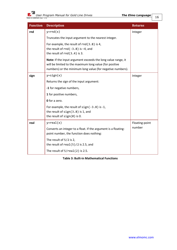| <b>Function</b> | <b>Description</b>                                                                                                                                                                    | <b>Returns</b> |
|-----------------|---------------------------------------------------------------------------------------------------------------------------------------------------------------------------------------|----------------|
| rnd             | $y = rnd(x)$                                                                                                                                                                          | Integer        |
|                 | Truncates the input argument to the nearest integer.                                                                                                                                  |                |
|                 | For example, the result of $rnd(3.8)$ is 4,<br>the result of $rnd(-3.8)$ is $-4$ , and<br>the result of $rnd(3.4)$ is 3.                                                              |                |
|                 | Note: If the input argument exceeds the long value range, it<br>will be limited to the maximum long value (for positive<br>numbers) or the minimum long value (for negative numbers). |                |
| sign            | $y = sign(x)$                                                                                                                                                                         | Integer        |
|                 | Returns the sign of the input argument:                                                                                                                                               |                |
|                 | -1 for negative numbers,                                                                                                                                                              |                |
|                 | 1 for positive numbers,                                                                                                                                                               |                |
|                 | <b>0</b> for a zero.                                                                                                                                                                  |                |
|                 | For example, the result of $sign(-3.8)$ is -1,<br>the result of $sign(3.8)$ is 1, and<br>the result of $sign(0)$ is 0.                                                                |                |
| real            | $y = real(x)$                                                                                                                                                                         | Floating-point |
|                 | Converts an integer to a float. If the argument is a floating-<br>point number, the function does nothing:                                                                            | number         |
|                 | The result of 5/2 is 2,<br>the result of $real(5)/2$ is 2.5, and                                                                                                                      |                |
|                 | The result of $5/real(2)$ is 2.5.                                                                                                                                                     |                |

**Table 3: Built-in Mathematical Functions**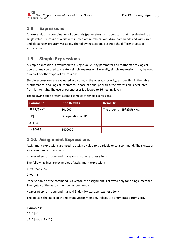# <span id="page-16-0"></span>**1.8. Expressions**

An *expression* is a combination of operands (parameters) and operators that is evaluated to a single value. Expressions work with immediate numbers, with drive commands and with drive and global user-program variables. The following sections describe the different types of expressions.

# <span id="page-16-1"></span>**1.9. Simple Expressions**

A simple expression is evaluated to a single value. Any parameter and mathematical/logical operator may be used to create a simple expression. Normally, simple expressions may be used as a part of other types of expressions.

Simple expressions are evaluated according to the operator priority, as specified in the table Mathematical and Logical Operators. In case of equal priorities, the expression is evaluated from left to right. The use of parentheses is allowed to 16 nesting levels.

| <b>Command</b> | <b>Line Results</b> | <b>Remarks</b>                 |
|----------------|---------------------|--------------------------------|
| $SP*2/5+AC$    | 101000              | The order is $((SP*2)/5) + AC$ |
| IP 5           | OR operation on IP  |                                |
| $2 + 3$        | 5                   |                                |
| 1400000        | 1400000             |                                |

The following table presents some examples of simple expressions.

# <span id="page-16-2"></span>**1.10. Assignment Expressions**

Assignment expressions are used to assign a value to a variable or to a command. The syntax of an assignment expression is:

<parameter or command name>=<simple expression>

The following lines are examples of assignment expressions:

SP=SP\*2/5+AC

OP=IP|5

If the variable or the command is a vector, the assignment is allowed only for a single member. The syntax of the vector member assignment is:

<parameter or command name>[index]=<simple expression>

The index is the index of the relevant vector member. Indices are enumerated from zero.

#### **Examples:**

 $CA[1]=1$ UI[2]=abs(PX\*2)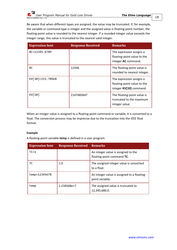

Be aware that when different types are assigned, the value may be truncated. If, for example, the variable or command type is integer and the assigned value is floating-point number, the floating-point value is rounded to the nearest integer. If a rounded integer value exceeds the integer range, this value is truncated to the nearest valid integer.

| <b>Expression Sent</b> | <b>Response Received</b> | <b>Remarks</b>                                                                     |
|------------------------|--------------------------|------------------------------------------------------------------------------------|
| AC=12345.6789          | $\qquad \qquad$          | The expression assigns a<br>floating-point value to the<br>integer AC command.     |
| AC                     | 12346                    | The floating-point value is<br>rounded to nearest integer.                         |
| KV[10]=215.789e8       | $\qquad \qquad$          | The expression assigns a<br>floating-point value to the<br>integer KV[10] command. |
| KV[10]                 | 2147483647               | The floating-point value is<br>truncated to the maximum<br>integer value.          |

When an integer value is assigned to a floating-point command or variable, it is converted to a float. The conversion process may be imprecise due to the truncation into the IEEE float format.

#### **Example**

A floating-point variable **temp** is defined in a user program.

| <b>Expression Sent</b> | <b>Response Received Remarks</b> |                                                                   |
|------------------------|----------------------------------|-------------------------------------------------------------------|
| $TC=1$                 |                                  | An integer value is assigned to the<br>floating-point command TC. |
| тc                     | 1.0                              | The assigned integer value is converted<br>to a float.            |
| temp=12345678          |                                  | An integer value is assigned to a floating-<br>point variable.    |
| temp                   | 1.234568e+7                      | The assigned value is truncated to<br>12,345,680.0.               |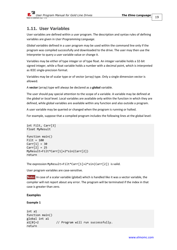### <span id="page-18-0"></span>**1.11. User Variables**

User variables are defined within a user program. The description and syntax rules of defining variables are given in *[User Programming Language](#page-24-0)*.

*Global variables* defined in a user program may be used within the command line only if the program was compiled successfully and downloaded to the drive. The user may then use the Interpreter to query a user variable value or change it.

Variables may be either of type integer or of type float. An integer variable holds a 32-bit signed integer, while a float variable holds a number with a decimal point, which is interpreted as IEEE single-precision format.

Variables may be of scalar type or of vector (array) type. Only a single dimension vector is allowed.

A **vector** (array) type will always be declared as a **global** variable.

The user should pay special attention to the scope of a variable. A variable may be defined at the *global* or *local* level. Local variables are available only within the function in which they are defined, while global variables are available within any function and also outside a program.

A user variable may be queried or changed when the program is running or halted.

For example, suppose that a compiled program includes the following lines at the global level:

```
int Filt, Carr[3]
float MyResult
function main()
Filt = 100
Carr[1] = 30Carr[2] = 25
MyResult=Filt*Carr[1]+2*sin(Carr[2])
return
```
The expression MyResult=Filt\*Carr[1]+2\*sin(Carr[2]) is valid.

User program variables are case-sensitive.

**Note:** In case of a scalar variable (global) which is handled like it was a vector variable, the compiler will not report about any error. The program will be terminated if the index in that case is greater than zero.

#### **Examples**

**Example 1**

```
int a1
function main()
global int a1
a1[0]=2 // Program will run successfully.
return
```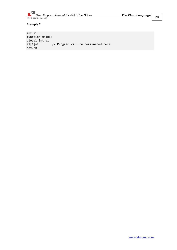

#### **Example 2**

```
int a1
function main()
global int a1 a1[1]=2// Program will be terminated here.
return
```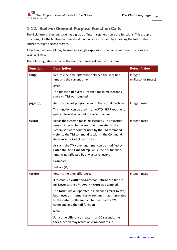# <span id="page-20-0"></span>**1.12. Built-in General Purpose Function Calls**

The Gold Interpreter language has a group of internal general-purpose functions. This group of functions, like the built-in mathematical functions, can be used by accessing the Interpreter and/or through a user program.

A built-in function call may be used in a single expression. The names of these functions are case-sensitive.

The following table describes the non-mathematical built-in functions.

| <b>Function</b> | <b>Description</b>                                                                                                                                                                                                                                                                                    | <b>Return Value</b>             |
|-----------------|-------------------------------------------------------------------------------------------------------------------------------------------------------------------------------------------------------------------------------------------------------------------------------------------------------|---------------------------------|
| tdif( $x$ )     | Returns the time difference between the specified<br>time and the current time.                                                                                                                                                                                                                       | Integer,<br>milliseconds (msec) |
|                 | $x = TM$                                                                                                                                                                                                                                                                                              |                                 |
|                 | The function $\text{tdif}(x)$ returns the time in milliseconds<br>since $x = TM$ was sampled.                                                                                                                                                                                                         |                                 |
| prgerr(0)       | Returns the last program error of the virtual machine.                                                                                                                                                                                                                                                | Integer, msec                   |
|                 | This function can be used in an AUTO_PERR routine to<br>query information about the recent failure.                                                                                                                                                                                                   |                                 |
| tick $(n)$      | Reads the system time in milliseconds. This function<br>uses an internal hardware timer unrelated to the<br>system software counter used by the TM command<br>(refer to the TM command section in the Command<br>Reference for Gold Line Drives).<br>As such, the TM command timer can be modified by | Integer, msec                   |
|                 | CAN SYNC And Time Stamp, while the tick function<br>timer is not affected by any external event.                                                                                                                                                                                                      |                                 |
|                 | <b>Example:</b>                                                                                                                                                                                                                                                                                       |                                 |
|                 | $x = tick(0)$                                                                                                                                                                                                                                                                                         |                                 |
| tock $(n)$      | Returns the time difference.                                                                                                                                                                                                                                                                          | Integer, msec                   |
|                 | If internal = tick(0), tock(internal) returns the time in<br>milliseconds since internal = tick(0) was sampled.                                                                                                                                                                                       |                                 |
|                 | The tock function operates in a manner similar to tdif,<br>but it uses an internal hardware timer that is unrelated<br>to the system software counter used by the TM<br>command and the tdif function.                                                                                                |                                 |
|                 | Note:                                                                                                                                                                                                                                                                                                 |                                 |
|                 | For a time difference greater than 32 seconds, the<br>tock function may return an erroneous result.                                                                                                                                                                                                   |                                 |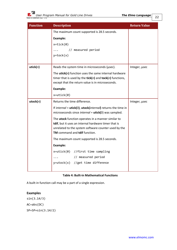| <b>Function</b> | <b>Description</b>                                                                                                               | <b>Return Value</b> |  |
|-----------------|----------------------------------------------------------------------------------------------------------------------------------|---------------------|--|
|                 | The maximum count supported is 28.5 seconds.                                                                                     |                     |  |
|                 | <b>Example:</b>                                                                                                                  |                     |  |
|                 | $x = tick(0)$                                                                                                                    |                     |  |
|                 | // measured period                                                                                                               |                     |  |
|                 | $y = tock(x)$                                                                                                                    |                     |  |
|                 |                                                                                                                                  |                     |  |
| utick $(n)$     | Reads the system time in microseconds (usec).                                                                                    | Integer, usec       |  |
|                 | The <b>utick(n)</b> function uses the same internal hardware                                                                     |                     |  |
|                 | timer that is used by the <b>tick(n)</b> and <b>tock(n)</b> functions,<br>except that the return value is in microseconds.       |                     |  |
|                 |                                                                                                                                  |                     |  |
|                 | <b>Example:</b>                                                                                                                  |                     |  |
|                 | $x = utick(0)$                                                                                                                   |                     |  |
| utock(n)        | Returns the time difference.                                                                                                     | Integer, usec       |  |
|                 | If internal = utick(0), utock(internal) returns the time in<br>microseconds since <i>internal</i> = <b>utick(0)</b> was sampled. |                     |  |
|                 |                                                                                                                                  |                     |  |
|                 | The utock function operates in a manner similar to<br>tdif, but it uses an internal hardware timer that is                       |                     |  |
|                 | unrelated to the system software counter used by the                                                                             |                     |  |
|                 | TM command and tdif function.                                                                                                    |                     |  |
|                 | The maximum count supported is 28.5 seconds.                                                                                     |                     |  |
|                 | <b>Example:</b>                                                                                                                  |                     |  |
|                 | $x = utick(0)$ //first time sampling                                                                                             |                     |  |
|                 | // measured period                                                                                                               |                     |  |
|                 | y=utock(x) //get time difference                                                                                                 |                     |  |
|                 |                                                                                                                                  |                     |  |

#### **Table 4: Built-in Mathematical Functions**

A built-in function call may be a part of a single expression.

#### **Examples**

sin(3.14/3) AC=abs(DC) SP=SP+sin(3.14/2)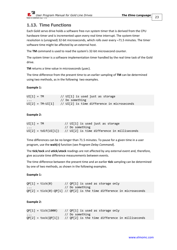

# <span id="page-22-0"></span>**1.13. Time Functions**

Each Gold servo drive holds a software free-run system timer that is derived from the CPU hardware timer and is incremented upon every real time interrupt. The system-timer resolution is (unsigned) 32-bit microseconds, which rolls over every ~71.5 minutes. The timer software time might be affected by an external host.

The **TM** command is used to read the system's 32-bit microsecond counter.

The system timer is a software implementation timer handled by the real time task of the Gold drive.

**TM** returns a time value in microseconds (μsec).

The time difference from the present time to an earlier sampling of **TM** can be determined using two methods, as in the following two examples.

#### **Example 1:**

| $UI[1] = TM$       | $1/$ UI[1] is used just as storage          |
|--------------------|---------------------------------------------|
| $\cdots$           | // Do something                             |
| $UI[2] = TM-UI[1]$ | // UI[2] is time difference in microseconds |

#### **Example 2:**

| $UI[1] = TM$ | // UI[1] is used just as storage                                    |
|--------------|---------------------------------------------------------------------|
| $\cdots$     | // Do something                                                     |
|              | $UI[2] = tdif(UI[1])$ // $UI[2]$ is time difference in milliseconds |

Time differences can be no longer than 71.5 minutes. To pause for a given time in a user program, use the **wait(***n***)** function (see *[Program Delay Command](#page-61-0)*).

The **tick**/**tock** and **utick**/**utock** readings are not affected by any external event and, therefore, give accurate time difference measurements between events.

The time difference between the present time and an earlier **tick** sampling can be determined by one of two methods, as shown in the following examples.

#### **Example 1:**

 $QP[1] = tick(0)$  //  $QP[1]$  is used as storage only // Do something  $QP[2] = tick(0)-QP[1]$  //  $QP[2]$  is the time difference in microseconds

#### **Example 2:**

```
QP[1] = tick(1000) // QP[1] is used as storage only
                      // Do something
QP[2] = \text{tok}(QP[1]) // QP[2] is the time difference in milliseconds
```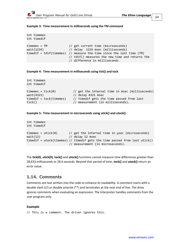int timemes

#### **Example 3: Time measurement in milliseconds using the TM command**

int timedif timemes = TM // get current time (microseconds) wait(1234) // delay 1234 msec (milliseconds) timedif = tdif(timemes) // measure the time since the last time (TM) // tdif() measures the new time and returns the // difference in milliseconds

```
Example 4: Time measurement in milliseconds using tick() and tock
```

```
int timemes
int timedif
time = tick(0) // get the internal time in msec (milliseconds)
wait(4321) // delay 4321 msec
timedif = tock(timemes) // timedif gets the time passed from last 
tick() \frac{1}{\sqrt{2}} measurement (in milliseconds).
```

```
Example 5: Time measurement in microseconds using utick() and utock()
```

```
int timemes
int timedif
timemes = utick(0) // get the internal time in \musec (microseconds)
width(12) // delay 12 msec
timedif = utock(timemes) // timedif gets the time passed from last utick() 
                        // measurement (in microseconds).
```
The **tick(0)**, **utick(0)**, **tock()** and **utock()** functions cannot measure time differences greater than 28,633 milliseconds or 28.6 seconds. Beyond that period of time, **tock()** and **utock()** return an error value.

### <span id="page-23-0"></span>**1.14. Comments**

Comments are text written into the code to enhance its readability. A comment starts with a double slash (//) or double asterisk (\*\*) and terminates at the next end of line. The drive ignores comments when evaluating an expression. The Interpreter handles comments from the user program only.

#### **Example**

```
// This is a comment. The driver ignores this.
```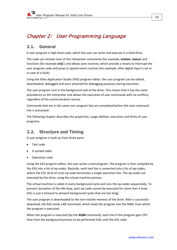# <span id="page-24-0"></span>Chapter 2: User Programming Language

### <span id="page-24-1"></span>**2.1. General**

A user program is high-level code, which the user can write and execute in a Gold drive.

The code can include most of the interpreter commands (for example, **motion**, **status**) and functions (for example **sin()** ) and allows auto routines, which provide a means to interrupt the user program code and jump to special event routines (for example, after digital input is set or in case of a fault).

Using the Elmo Application Studio (EAS) program editor, the user program can be edited, downloaded, debugged and even attached for debugging purposes during execution.

The user program runs in the background task of the drive. This means that it has the same precedence as the interpreter and allows the execution of user commands with no conflicts, regardless of the communication source.

Commands that are in the same user program line are completed before the next command line is processed.

The following chapter describes the properties, usage abilities, execution and limits of user programs.

# <span id="page-24-2"></span>**2.2. Structure and Timing**

A user program is built up from three parts:

- Text code
- A symbol table
- Operation code

Using the EAS program editor, the user writes a text program. The program is then compiled by the EAS into a list of op-codes. Basically, each text line is converted into a list of op-codes, where the EOL (End-of-Line) op-code terminates a single execution line. The op-codes are executed by the drive, using the virtual machine process.

The virtual machine is called in every background cycle and runs the op-codes sequentially. To prevent starvation of the idle loop, each op-code cannot be executed for more than 3 msec (this is just a timeout to prevent background cycles that are too long).

The user program is downloaded to the non-volatile memory of the drive. After a successful download, the EAS sends a **CC** command, which loads the program into the RAM, from which the program is executed.

When the program is executed (by the **XQ##** command), each line in the program gets CPU time from the background process to be performed fully until the EOL code.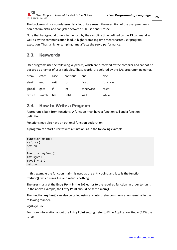The background is a non-deterministic loop. As a result, the execution of the user program is non-deterministic and can jitter between 100 μsec and 1 msec.

Note that background time is influenced by the sampling time defined by the **TS** command as well as by the communication load. A higher sampling time means faster user program execution. Thus, a higher sampling time affects the servo performance.

# <span id="page-25-0"></span>**2.3. Keywords**

User programs use the following keywords, which are protected by the compiler and cannot be declared as names of user variables. These words are colored by the EAS programming editor.

| break       | catch             | case  | continue | end       | else     |
|-------------|-------------------|-------|----------|-----------|----------|
| elseif end  |                   | exit  | tor      | float     | function |
| global goto |                   | if if | int      | otherwise | reset    |
|             | return switch try |       | until    | wait      | while    |

### <span id="page-25-1"></span>**2.4. How to Write a Program**

A program is built from functions. A function must have a function call and a function definition.

Functions may also have an optional function declaration.

A program can start directly with a function, as in the following example.

```
function main()
myfunc() 
return
function myfunc()
int myval 
myval = 1+2return
```
In this example the function **main()** is used as the entry point, and it calls the function **myfunc()**, which sums 1+2 and returns nothing.

The user must set the **Entry Point** in the EAS editor to the required function in order to run it. In the above example, the **Entry Point** should be set to **main()**.

The function **myfunc()** can also be called using any interpreter communication terminal in the following manner.

XQ##myfunc

For more information about the **Entry Point** setting, refer to Elmo Application Studio (EAS) User Guide.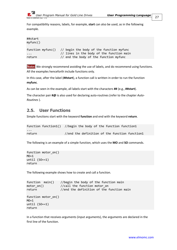

For compatibility reasons, labels, for example, **start** can also be used, as in the following example.

```
##start
myfunc()
function myfunc() // begin the body of the function myfunc
... \frac{1}{1} lines in the body of the function main
return // end the body of the function myfunc
```
**Note:** We strongly recommend avoiding the use of labels, and do recommend using functions. All the examples henceforth include functions only.

In this case, after the label (**##start**), a function call is written in order to run the function **myfunc**.

As can be seen in the example, all labels start with the characters **##** (e.g., **##start**).

The character pair **#@** is also used for declaring auto-routines (refer to the chapter *[Auto-](#page-61-2)[Routines](#page-61-2)* ).

### <span id="page-26-0"></span>**2.5. User Functions**

Simple functions start with the keyword **function** and end with the keyword **return**.

```
function function1() //begin the body of the function function1
...
return //end the definition of the function function1
```
The following is an example of a simple function, which uses the **MO** and **SO** commands.

```
function motor on()
MO=1until (SO==1)return
```
The following example shows how to create and call a function.

```
function main() //begin the body of the function main
motor_on() //call the function motor\_onreturn //end the definition of the function main
function motor_on()
MO=1until (SO==1)return
```
In a function that receives arguments (input arguments), the arguments are declared in the first line of the function.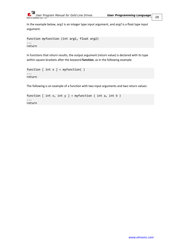

In the example below, *arg1* is an integer type input argument, and *arg2* is a float type input argument.

```
function myfunction (int arg1, float arg2)
...
return
```
In functions that return results, the output argument (return value) is declared with its type within square brackets after the keyword **function**, as in the following example.

```
function [ int x ] = myfunction( )
...
return
```
The following is an example of a function with two input arguments and two return values:

```
function [ int x, int y ] = myfunction ( int a, int b )...
return
```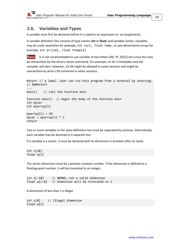### <span id="page-28-0"></span>**2.6. Variables and Types**

A variable must first be declared before it is used (in an expression or an assignment).

A variable definition line consists of type names (**int** or **float**) and variable names. Variables may be scalar quantities for example, int var1, float temp, or one-dimensional arrays for example, int arr[10], float ftemp[4].

**Note:** It is not recommended to use variable of two letters (XX, YY, DG[2] etc) since this may be overwritten by the drive's native command. For example: int AC is forbidden and the compiler will alert. However, int XX might be allowed in some versions and might be overwritten by drive's XX command in other versions.

```
#start // a label. User can run this program from a terminal by entering: 
// XQ##start
...
main() // call the function main
function main() // begin the body of the function main
int myvar
int myarray[5]
myarray[1] = 10myvar = myarray[1] * 2
return
```
Two or more variables in the same definition line must be separated by commas. Alternatively, each variable may be declared in a separate line.

If a variable is a vector, it must be declared with its dimension in brackets after its name.

int z[10] float w[2]

The vector dimension must be a positive constant number. If the dimension is defined as a floating-point number, it will be truncated to an integer.

int  $z[-10]$  // WRONG, not a valid dimension float w[2.8] // dimension will be truncated to 2

A dimension of less than 1 is illegal.

int z[0] // Illegal dimension float w[2]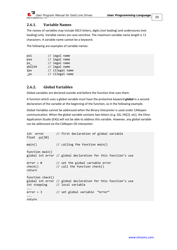

### <span id="page-29-0"></span>**2.6.1. Variable Names**

The names of variables may include ASCII letters, digits (not leading) and underscores (not leading) only. Variable names are case-sensitive. The maximum variable name length is 11 characters. A variable name cannot be a keyword.

The following are examples of variable names:

| // legal name   |
|-----------------|
| // legal name   |
| // legal name   |
| // legal name   |
| // illegal name |
| // illegal name |
|                 |

### <span id="page-29-1"></span>**2.6.2. Global Variables**

Global variables are declared outside and before the function that uses them.

A function which uses a global variable must have the protective keyword **global** in a second declaration of the variable at the beginning of the function, as in the following example.

Global Variables cannot be addressed when the Binary Interpreter is used under CANopen communication. When the global variable contains two letters (e.g. GG, HK[2], etc), the Elmo Application Studio (EAS) will not be able to address this variable. However, any global variable can be addressed via the CANopen OS interpreter.

```
int error // first declaration of global variable
float yy[20]
main() \frac{1}{2} // calling the function main()
function main()
global int error // global declaration for this function's use
error = 0 // set the global variable error
check() // call the function check()
return
function check()
global int error // global declaration for this function's use
int stepping // local variable
...
error = 3 // set global variable "error"
...
return
```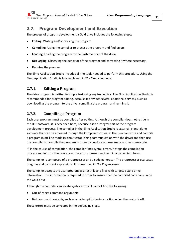### <span id="page-30-0"></span>**2.7. Program Development and Execution**

The process of program development a Gold drive includes the following steps:

- **Editing:** Writing and/or revising the program.
- **Compiling**: Using the compiler to process the program and find errors.
- **Loading**: Loading the program to the flash memory of the drive.
- **Debugging**: Observing the behavior of the program and correcting it where necessary.
- **Running** the program.

The Elmo Application Studio includes all the tools needed to perform this procedure. Using the Elmo Application Studio is fully explained in *[The Elmo Language](#page-5-0)*.

#### <span id="page-30-1"></span>**2.7.1. Editing a Program**

The drive program is written in simple text using any text editor. The Elmo Application Studio is recommended for program editing, because it provides several additional services, such as downloading the program to the drive, compiling the program and running it.

### <span id="page-30-2"></span>**2.7.2. Compiling a Program**

Each user program must be compiled after editing. Although the compiler does not reside in the DSP software, it is described here, because it is an integral part of the program development process. The compiler in the Elmo Application Studio is external, stand-alone software that can be accessed through the Composer software. The user can write and compile a program in off-line mode (without establishing communication with the drive) and then use the compiler to compile the program in order to produce address maps and run-time code.

If, in the course of compilation, the compiler finds syntax errors, it stops the compilation process and informs the user about the errors, presenting them in a convenient form.

The compiler is composed of a preprocessor and a code generator. The preprocessor evaluates pragmas and constant expressions. It is described in *[The Preprocessor](#page-47-0)*.

The compiler accepts the user program as a text file and files with targeted Gold drive information. This information is required in order to ensure that the compiled code can run on the Gold drive.

Although the compiler can locate syntax errors, it cannot find the following:

- Out-of-range command arguments
- Bad command contexts, such as an attempt to begin a motion when the motor is off.

These errors must be corrected in the debugging stage.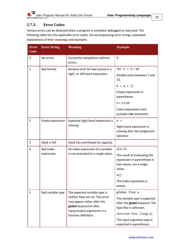

### <span id="page-31-0"></span>**2.7.3. Error Codes**

Various errors can be detected when a program is compiled, debugged or executed. The following table lists the applicable error codes, the accompanying error strings, expanded explanations of their meanings and examples.

| <b>Error</b><br>Code | <b>Error String</b>                 | <b>Meaning</b>                                                                                                                                                                      | <b>Example</b>                                                                          |
|----------------------|-------------------------------------|-------------------------------------------------------------------------------------------------------------------------------------------------------------------------------------|-----------------------------------------------------------------------------------------|
| 0                    | No errors                           | Successful compilation without<br>errors.                                                                                                                                           | $\mathbf 0$                                                                             |
| $\mathbf{1}$         | <b>Bad format</b>                   | General error for bad syntax in a<br>right- or left-hand expression.                                                                                                                | for $k = 1$ ::10                                                                        |
|                      |                                     |                                                                                                                                                                                     | Double colon between 1 and<br>10.                                                       |
|                      |                                     |                                                                                                                                                                                     | $b = a + ()$                                                                            |
|                      |                                     |                                                                                                                                                                                     | Empty expression in<br>parentheses.                                                     |
|                      |                                     |                                                                                                                                                                                     | $k = 1:2:20$                                                                            |
|                      |                                     |                                                                                                                                                                                     | Colon expression used<br>outside a for statement.                                       |
| $\overline{2}$       | <b>Empty expression</b>             | Expected right-hand expression is<br>missing.                                                                                                                                       | $a =$                                                                                   |
|                      |                                     |                                                                                                                                                                                     | Right-hand expression is<br>missing after the assignment<br>operator.                   |
| 3                    | Stack is full                       | Stack has overflowed its capacity.                                                                                                                                                  |                                                                                         |
| 4                    | <b>Bad index</b>                    | An index expression of a variable                                                                                                                                                   | a(2,3)                                                                                  |
| expression           | is not evaluated to a single value. | The result of evaluating the<br>expression in parentheses is<br>two values, not a single<br>value.                                                                                  |                                                                                         |
|                      |                                     |                                                                                                                                                                                     | a()                                                                                     |
|                      |                                     |                                                                                                                                                                                     | The index expression is<br>empty.                                                       |
| 5                    | Bad variable type                   | The expected variable type is<br>neither float nor int. This error<br>may appear either after the<br>global keyword or after<br>input/output arguments in a<br>function definition. | global floa a                                                                           |
|                      |                                     |                                                                                                                                                                                     | The variable type is expected<br>after the global keyword. The<br>type floa is unknown. |
|                      |                                     |                                                                                                                                                                                     | function func (long a)                                                                  |
|                      |                                     |                                                                                                                                                                                     | The input argument type is<br>expected in parentheses.                                  |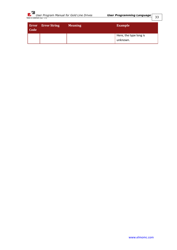

| Code | <b>Error</b> Error String | <b>Meaning</b> | <b>Example</b>                     |
|------|---------------------------|----------------|------------------------------------|
|      |                           |                | Here, the type long is<br>unknown. |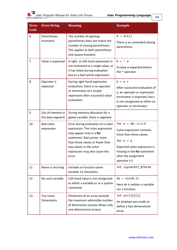| <b>Error</b><br>Code | <b>Error String</b>                  | <b>Meaning</b>                                                                                                                                                                                                                              | <b>Example</b>                                                                                                                                                                                         |
|----------------------|--------------------------------------|---------------------------------------------------------------------------------------------------------------------------------------------------------------------------------------------------------------------------------------------|--------------------------------------------------------------------------------------------------------------------------------------------------------------------------------------------------------|
| 6                    | Parentheses<br>mismatch              | The number of opening<br>parentheses does not match the<br>number of closing parentheses.<br>This applies to both parentheses<br>and square brackets.                                                                                       | $b = a(1)$<br>There is an unneeded closing<br>parenthesis.                                                                                                                                             |
| $\overline{7}$       | Value is expected                    | A right- or left-hand expression is<br>not evaluated to a single value, or<br>it has failed during evaluation<br>due to a bad syntax expression.                                                                                            | $b = \land a$<br>A value is expected before<br>the ^ operator.                                                                                                                                         |
| 8                    | Operator is<br>expected              | During right-hand expression<br>evaluation, there is no operator<br>or terminator of a simple<br>expression after successful value<br>evaluation.                                                                                           | $b = a c$<br>After successful evaluation of<br>a, an operator or expression<br>terminator is expected, but c<br>is not recognized as either an<br>operator or terminator.                              |
| 9                    | Out of memory in<br>the data segment | During memory allocation for a<br>global variable, there is segment.                                                                                                                                                                        |                                                                                                                                                                                                        |
| 10                   | <b>Bad colon</b><br>expression       | Error during evaluation of a colon<br>expression. The colon expression<br>may appear only in a for<br>statement. Bad syntax: more<br>than three values or fewer than<br>two values in the colon<br>expression may also cause this<br>error. | for $k = 10:-1:5:9$<br>Colon expression contains<br>more than three values.<br>for $k = a$<br>Expected colon expression is<br>missing in the for statement<br>after the assignment<br>operator $(=)$ . |
| 11                   | Name is too long                     | Variable or function name<br>exceeds 12 characters.                                                                                                                                                                                         | int iuyuafdsf_876234                                                                                                                                                                                   |
| 12                   | No such variable                     | Left-hand value is not recognized<br>as either a variable or as a system<br>command.                                                                                                                                                        | $de = sin(0.5)$<br>Here de is neither a variable<br>nor a function.                                                                                                                                    |
| 13                   | Too many<br><b>Dimensions</b>        | Dimension of an array exceeds<br>the maximum admissible number<br>of dimensions (syntax allows only<br>one-dimensional arrays).                                                                                                             | int arr[12][2]<br>An attempt was made to<br>define a two-dimensional<br>array.                                                                                                                         |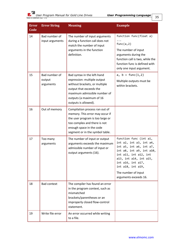*User Program Manual for Gold Line Drives User Programming Language MAN-G-USRPGM (Ver. 1.3)* 

| <b>Error</b><br>Code | <b>Error String</b>                  | <b>Meaning</b>                                                                                                                                                                                             | <b>Example</b>                                                                                                                                                                                                                                        |
|----------------------|--------------------------------------|------------------------------------------------------------------------------------------------------------------------------------------------------------------------------------------------------------|-------------------------------------------------------------------------------------------------------------------------------------------------------------------------------------------------------------------------------------------------------|
| 14                   | Bad number of<br>input arguments     | The number of input arguments<br>during a function call does not<br>match the number of input<br>arguments in the function<br>definition.                                                                  | function func(float a)<br>func(a, 2)<br>The number of input<br>arguments during the<br>function call is two, while the<br>function func is defined with<br>only one input argument.                                                                   |
| 15                   | Bad number of<br>output<br>arguments | Bad syntax in the left-hand<br>expression: multiple output<br>without brackets, or multiple<br>output that exceeds the<br>maximum admissible number of<br>outputs (a maximum of 16<br>outputs is allowed). | a, $b = func(1, 2)$<br>Multiple outputs must be<br>within brackets.                                                                                                                                                                                   |
| 16                   | Out of memory                        | Compilation process ran out of<br>memory. This error may occur if<br>the user program is too large or<br>too complex and there is not<br>enough space in the code<br>segment or in the symbol table.       |                                                                                                                                                                                                                                                       |
| 17                   | Too many<br>arguments                | The number of input or output<br>arguments exceeds the maximum<br>admissible number of input or<br>output arguments (16).                                                                                  | function func (int a1,<br>int a2, int a3, int a4,<br>int a5, int a6, int a7,<br>int a8, int a9, int a10,<br>int a11, int a12, int<br>a13, int a14, int a15,<br>int a16, int a17,<br>int a18, int a19,<br>The number of input<br>arguments exceeds 16. |
| 18                   | <b>Bad context</b>                   | The compiler has found an error<br>in the program context, such as<br>mismatched<br>brackets/parentheses or an<br>improperly closed flow-control<br>statement.                                             |                                                                                                                                                                                                                                                       |
| 19                   | Write file error                     | An error occurred while writing<br>to a file.                                                                                                                                                              |                                                                                                                                                                                                                                                       |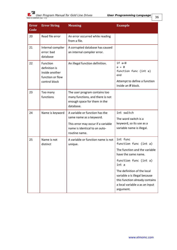| <b>Error</b><br>Code | <b>Error String</b>                                                              | <b>Meaning</b>                                                                                                                                    | <b>Example</b>                                                                                                                                                                                                                                                               |
|----------------------|----------------------------------------------------------------------------------|---------------------------------------------------------------------------------------------------------------------------------------------------|------------------------------------------------------------------------------------------------------------------------------------------------------------------------------------------------------------------------------------------------------------------------------|
| 20                   | Read file error                                                                  | An error occurred while reading<br>from a file.                                                                                                   |                                                                                                                                                                                                                                                                              |
| 21                   | Internal compiler<br>error: bad<br>database                                      | A corrupted database has caused<br>an internal compiler error.                                                                                    |                                                                                                                                                                                                                                                                              |
| 22                   | Function<br>definition is<br>inside another<br>function or flow<br>control block | An illegal function definition.                                                                                                                   | if a < 0<br>$a = 0$<br>function func (int a)<br>end<br>Attempt to define a function<br>inside an if block.                                                                                                                                                                   |
| 23                   | Too many<br>functions                                                            | The user program contains too<br>many functions, and there is not<br>enough space for them in the<br>database.                                    |                                                                                                                                                                                                                                                                              |
| 24                   | Name is keyword                                                                  | A variable or function has the<br>same name as a keyword.<br>This error may occur if a variable<br>name is identical to an auto-<br>routine name. | int switch<br>The word switch is a<br>keyword, so its use as a<br>variable name is illegal.                                                                                                                                                                                  |
| 25                   | Name is not<br>distinct                                                          | A variable or function name is not<br>unique.                                                                                                     | int func<br>function func (int a)<br>The function and the variable<br>have the same name.<br>function func (int a)<br>int a<br>The definition of the local<br>variable a is illegal because<br>this function already contains<br>a local variable a as an input<br>argument. |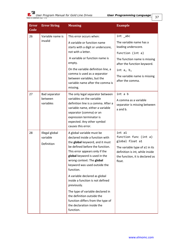*User Program Manual for Gold Line Drives User Programming Language MAN-G-USRPGM (Ver. 1.3)* 

| <b>Error</b><br>Code | <b>Error String</b>        | <b>Meaning</b>                                                                                                                                                                                                  | <b>Example</b>                                                                                                 |
|----------------------|----------------------------|-----------------------------------------------------------------------------------------------------------------------------------------------------------------------------------------------------------------|----------------------------------------------------------------------------------------------------------------|
| 26                   | Variable name is           | This error occurs when:                                                                                                                                                                                         | $int$ $abc$                                                                                                    |
|                      | invalid                    | A variable or function name<br>starts with a digit or underscore,                                                                                                                                               | The variable name has a<br>leading underscore.                                                                 |
|                      |                            | not with a letter.                                                                                                                                                                                              | function (int a)                                                                                               |
|                      |                            | A variable or function name is<br>empty.                                                                                                                                                                        | The function name is missing<br>after the function keyword.                                                    |
|                      |                            | On the variable definition line, a<br>comma is used as a separator                                                                                                                                              | int a, b,                                                                                                      |
|                      |                            | between variables, but the<br>variable name after the comma is<br>missing.                                                                                                                                      | The variable name is missing<br>after the comma.                                                               |
| 27                   | Bad separator              | The only legal separator between                                                                                                                                                                                | int a b                                                                                                        |
|                      | between<br>variables       | variables on the variable<br>definition line is a comma. After a<br>variable name, either a variable<br>separator (comma) or an<br>expression terminator is<br>expected. Any other symbol<br>causes this error. | A comma as a variable<br>separator is missing between<br>a and b.                                              |
| 28                   | Illegal global<br>variable | A global variable must be<br>declared inside a function with<br>the global keyword, and it must                                                                                                                 | int a1<br>function func (int a)<br>global float a1                                                             |
|                      | Definition                 | be defined before the function.<br>This error appears only if the<br>global keyword is used in the<br>wrong context: The global<br>keyword was used outside the<br>function.                                    | The variable type of a1 in its<br>definition is int, while inside<br>the function, it is declared as<br>float. |
|                      |                            | A variable declared as global<br>inside a function is not defined<br>previously.                                                                                                                                |                                                                                                                |
|                      |                            | The type of variable declared in<br>the definition outside the<br>function differs from the type of<br>the declaration inside the<br>function.                                                                  |                                                                                                                |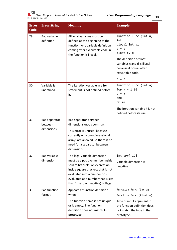*User Program Manual for Gold Line Drives User Programming Language MAN-G-USRPGM (Ver. 1.3)* 

| <b>Error</b><br>Code | <b>Error String</b>               | <b>Meaning</b>                                                                                                                                                                                                                                           | <b>Example</b>                                                                                         |
|----------------------|-----------------------------------|----------------------------------------------------------------------------------------------------------------------------------------------------------------------------------------------------------------------------------------------------------|--------------------------------------------------------------------------------------------------------|
| 29                   | <b>Bad variable</b><br>definition | All local variables must be<br>defined at the beginning of the<br>function. Any variable definition<br>coming after executable code in<br>the function is illegal.                                                                                       | function func (int a)<br>int b<br>global int a1<br>$b = a$<br>float c, d                               |
|                      |                                   |                                                                                                                                                                                                                                                          | The definition of float<br>variables c and d is illegal<br>because it occurs after<br>executable code. |
|                      |                                   |                                                                                                                                                                                                                                                          | $b = a$                                                                                                |
| 30                   | Variable is<br>undefined          | The iteration variable in a for<br>statement is not defined before<br>it.                                                                                                                                                                                | function func (int a)<br>for $k = 1:10$<br>$a = k$ :<br>end<br>return                                  |
|                      |                                   |                                                                                                                                                                                                                                                          | The iteration variable k is not<br>defined before its use.                                             |
| 31                   | Bad separator<br>between          | Bad separator between<br>dimensions (not a comma).                                                                                                                                                                                                       |                                                                                                        |
|                      | dimensions                        | This error is unused, because<br>currently only one-dimensional<br>arrays are allowed, so there is no<br>need for a separator between<br>dimensions.                                                                                                     |                                                                                                        |
| 32                   | <b>Bad variable</b><br>dimension  | The legal variable dimension<br>must be a positive number inside<br>square brackets. An expression<br>inside square brackets that is not<br>evaluated into a number or is<br>evaluated as a number that is less<br>than 1 (zero or negative) is illegal. | $int arr[-12]$<br>Variable dimension is<br>negative                                                    |
| 33                   | <b>Bad function</b><br>format     | Appears at function definition<br>when:                                                                                                                                                                                                                  | function func (int a)<br>function func (float a)                                                       |
|                      |                                   | The function name is not unique<br>or is empty. The function<br>definition does not match its<br>prototype.                                                                                                                                              | Type of input argument in<br>the function definition does<br>not match the type in the<br>prototype.   |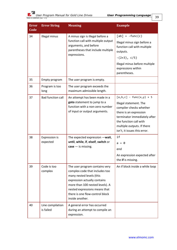| . .<br>I<br>۰.<br>-- | ×<br>۰.<br>۰, |
|----------------------|---------------|
|                      |               |

| <b>Error</b><br>Code | <b>Error String</b>           | <b>Meaning</b>                                                                                                                                                                                                                                         | <b>Example</b>                                                                                                                                                                                                                      |
|----------------------|-------------------------------|--------------------------------------------------------------------------------------------------------------------------------------------------------------------------------------------------------------------------------------------------------|-------------------------------------------------------------------------------------------------------------------------------------------------------------------------------------------------------------------------------------|
| 34                   | Illegal minus                 | A minus sign is illegal before a<br>function call with multiple output<br>arguments, and before<br>parentheses that include multiple<br>expressions.                                                                                                   | $[ab] = -func(c)$<br>Illegal minus sign before a<br>function call with multiple<br>outputs.<br>$-(2+3), c/5)$<br>Illegal minus before multiple<br>expressions within<br>parentheses.                                                |
| 35                   | Empty program                 | The user program is empty.                                                                                                                                                                                                                             |                                                                                                                                                                                                                                     |
| 36                   | Program is too<br>long        | The user program exceeds the<br>maximum admissible length.                                                                                                                                                                                             |                                                                                                                                                                                                                                     |
| 37                   | <b>Bad function call</b>      | An attempt has been made in a<br>goto statement to jump to a<br>function with a non-zero number<br>of input or output arguments.                                                                                                                       | $[a,b,c]$ - func $(x,y)$ + 5<br>Illegal statement. The<br>compiler checks whether<br>there is an expression<br>terminator immediately after<br>the function call with<br>multiple outputs. If there<br>isn't, it issues this error. |
| 38                   | Expression is<br>expected     | The expected expression -wait,<br>until, while, if, elseif, switch or<br>$case - is missing.$                                                                                                                                                          | if<br>$a = 0$<br>end<br>An expression expected after<br>the if is missing.                                                                                                                                                          |
| 39                   | Code is too<br>complex        | The user program contains very<br>complex code that includes too<br>many nested levels (this<br>expression actually contains<br>more than 100 nested levels). A<br>nested expressions means that<br>there is one flow-control block<br>inside another. | An if block inside a while loop                                                                                                                                                                                                     |
| 40                   | Line compilation<br>is failed | A general error has occurred<br>during an attempt to compile an<br>expression.                                                                                                                                                                         |                                                                                                                                                                                                                                     |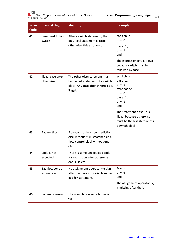| <b>Error</b><br>Code | <b>Error String</b>                   | <b>Meaning</b>                                                                                                      | <b>Example</b>                                                                                                                                                                                  |
|----------------------|---------------------------------------|---------------------------------------------------------------------------------------------------------------------|-------------------------------------------------------------------------------------------------------------------------------------------------------------------------------------------------|
| 41                   | Case must follow<br>switch            | After a switch statement, the<br>only legal statement is case;<br>otherwise, this error occurs.                     | switch a<br>$b = 0$<br>case 1,<br>$h = 1$<br>end<br>The expression b=0 is illegal<br>because switch must be<br>followed by case.                                                                |
| 42                   | Illegal case after<br>otherwise       | The otherwise statement must<br>be the last statement of a switch<br>block. Any case after otherwise is<br>illegal. | switch a<br>case 1,<br>$b = 1$<br>otherwise<br>$b = 0$<br>case 2,<br>$h = 1$<br>end<br>The statement case 2 is<br>illegal because otherwise<br>must be the last statement in<br>a switch block. |
| 43                   | <b>Bad nesting</b>                    | Flow-control block contradiction:<br>else without if, mismatched end,<br>flow-control block without end,<br>etc.    |                                                                                                                                                                                                 |
| 44                   | Code is not<br>expected.              | There is some unexpected code<br>for evaluation after otherwise,<br>end, else etc.                                  |                                                                                                                                                                                                 |
| 45                   | <b>Bad flow control</b><br>expression | No assignment operator $(=)$ sign<br>after the iteration variable name<br>in a for statement.                       | for k<br>$a = 0$<br>end<br>The assignment operator $(=)$<br>is missing after the k.                                                                                                             |
| 46                   | Too many errors                       | The compilation error buffer is<br>full.                                                                            |                                                                                                                                                                                                 |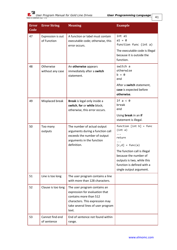

| <b>Error</b><br>Code | <b>Error String</b>              | <b>Meaning</b>                                                                                                                                                             | <b>Example</b>                                                                                                                               |
|----------------------|----------------------------------|----------------------------------------------------------------------------------------------------------------------------------------------------------------------------|----------------------------------------------------------------------------------------------------------------------------------------------|
| 47                   | Expression is out<br>of Function | A function or label must contain<br>executable code; otherwise, this<br>error occurs.                                                                                      | int a1<br>$a1 = 0$<br>function func (int a)                                                                                                  |
|                      |                                  |                                                                                                                                                                            | The executable code is illegal<br>because it is outside the<br>function.                                                                     |
| 48                   | Otherwise<br>without any case    | An otherwise appears<br>immediately after a switch<br>statement.                                                                                                           | switch a<br>otherwise<br>$h = \theta$<br>end                                                                                                 |
|                      |                                  |                                                                                                                                                                            | After a switch statement,<br>case is expected before<br>otherwise.                                                                           |
| 49                   | Misplaced break                  | Break is legal only inside a<br>switch, for or while block;<br>otherwise, this error occurs.                                                                               | If $a < 0$<br>break<br>end                                                                                                                   |
|                      |                                  |                                                                                                                                                                            | Using break in an if<br>statement is illegal.                                                                                                |
| 50                   | Too many<br>outputs              | The number of actual output<br>arguments during a function call<br>exceeds the number of output<br>arguments in the function<br>definition.                                | function $[int b] = func$<br>(int a)<br>return<br>$[c,d] = func(a)$                                                                          |
|                      |                                  |                                                                                                                                                                            | The function call is illegal<br>because the number of<br>outputs is two, while this<br>function is defined with a<br>single output argument. |
| 51                   | Line is too long                 | The user program contains a line<br>with more than 128 characters.                                                                                                         |                                                                                                                                              |
| 52                   | Clause is too long               | The user program contains an<br>expression for evaluation that<br>contains more than 512<br>characters. This expression may<br>take several lines of user program<br>text. |                                                                                                                                              |
| 53                   | Cannot find end<br>of sentence   | End of sentence not found within<br>range.                                                                                                                                 |                                                                                                                                              |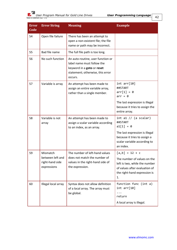|--|

| <b>Error</b><br>Code | <b>Error String</b>                                | <b>Meaning</b>                                                                                                                               | <b>Example</b>                                                                                                                      |
|----------------------|----------------------------------------------------|----------------------------------------------------------------------------------------------------------------------------------------------|-------------------------------------------------------------------------------------------------------------------------------------|
| 54                   | Open file failure                                  | There has been an attempt to<br>open a non-existent file; the file<br>name or path may be incorrect.                                         |                                                                                                                                     |
| 55                   | Bad file name                                      | The full file path is too long.                                                                                                              |                                                                                                                                     |
| 56                   | No such function                                   | An auto-routine, user function or<br>label name must follow the<br>keyword in a goto or reset<br>statement; otherwise, this error<br>occurs. |                                                                                                                                     |
| 57                   | Variable is array                                  | An attempt has been made to<br>assign an entire variable array,<br>rather than a single member.                                              | int arr[10]<br>##START<br>$arr[1] = 0$<br>$arr = 0$                                                                                 |
|                      |                                                    |                                                                                                                                              | The last expression is illegal<br>because it tries to assign the<br>entire array.                                                   |
| 58                   | Variable is not<br>array                           | An attempt has been made to<br>assign a scalar variable according<br>to an index, as an array.                                               | int a1 $//$ (a scalar)<br>##START<br>$a1[1] = 0$                                                                                    |
|                      |                                                    |                                                                                                                                              | The last expression is illegal<br>because it tries to assign a<br>scalar variable according to<br>an index.                         |
| 59                   | Mismatch                                           | The number of left-hand values                                                                                                               | $[a,b] = 12 + c$                                                                                                                    |
|                      | between left and<br>right-hand side<br>expressions | does not match the number of<br>values in the right-hand side of<br>the expression.                                                          | The number of values on the<br>left is two, while the number<br>of values after evaluation of<br>the right-hand expression is<br>1. |
| 60                   | Illegal local array                                | Syntax does not allow definition<br>of a local array. The array must<br>be global.                                                           | function func (int a)<br>int arr[10]<br>return<br>A local array is illegal.                                                         |
|                      |                                                    |                                                                                                                                              |                                                                                                                                     |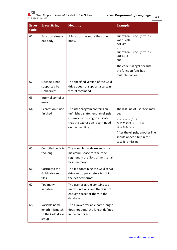| <b>Error</b><br>Code | <b>Error String</b>                                            | <b>Meaning</b>                                                                                                                                              | <b>Example</b>                                                                                                                                                                           |
|----------------------|----------------------------------------------------------------|-------------------------------------------------------------------------------------------------------------------------------------------------------------|------------------------------------------------------------------------------------------------------------------------------------------------------------------------------------------|
| 61                   | Function already<br>has body                                   | A function has more than one<br>body.                                                                                                                       | function func (int a)<br>wait 2000<br>return<br>function func (int a)<br>until a<br>end<br>The code is illegal because<br>the function func has<br>multiple bodies.                      |
| 62                   | Opcode is not<br>supported by<br>Gold drives                   | The specified version of the Gold<br>drive does not support a certain<br>virtual command.                                                                   |                                                                                                                                                                                          |
| 63                   | Internal compiler<br>error                                     |                                                                                                                                                             |                                                                                                                                                                                          |
| 64                   | Expression is not<br>finished                                  | The user program contains an<br>unfinished statement: an ellipsis<br>() may be missing to indicate<br>that the expression is continued<br>on the next line. | The last line of user text may<br>be:<br>$a = b + 8 / 12$<br>$/(8^2*sqrt(2) - sin$<br>(3.14/2))<br>After the ellipsis, another line<br>should appear, but in this<br>case it is missing. |
| 65                   | Compiled code is<br>too long                                   | The compiled code exceeds the<br>maximum space for the code<br>segment in the Gold drive's serial<br>flash memory.                                          |                                                                                                                                                                                          |
| 66                   | Corrupted the<br>Gold drive setup<br>files                     | The file containing the Gold servo<br>drive setup parameters is not in<br>the defined format.                                                               |                                                                                                                                                                                          |
| 67                   | Too many<br>variables                                          | The user program contains too<br>many functions, and there is not<br>enough space for them in the<br>database.                                              |                                                                                                                                                                                          |
| 68                   | Variable name<br>length mismatch<br>to the Gold drive<br>setup | The allowed variable name length<br>does not equal the length defined<br>in the compiler.                                                                   |                                                                                                                                                                                          |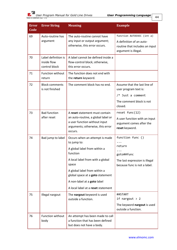| <b>Error</b><br>Code | <b>Error String</b>                                 | <b>Meaning</b>                                                                                                                                                                                                                                                                  | <b>Example</b>                                                                                                      |
|----------------------|-----------------------------------------------------|---------------------------------------------------------------------------------------------------------------------------------------------------------------------------------------------------------------------------------------------------------------------------------|---------------------------------------------------------------------------------------------------------------------|
| 69                   | Auto-routine has<br>argument                        | The auto-routine cannot have<br>any input or output argument;<br>otherwise, this error occurs.                                                                                                                                                                                  | function AUTOEXEC (int a)<br>A definition of an auto-<br>routine that includes an input<br>argument is illegal.     |
| 70                   | Label definition is<br>inside flow<br>control block | A label cannot be defined inside a<br>flow-control block; otherwise,<br>this error occurs.                                                                                                                                                                                      |                                                                                                                     |
| 71                   | Function without<br>return                          | The function does not end with<br>the return keyword.                                                                                                                                                                                                                           |                                                                                                                     |
| 72                   | <b>Block comments</b><br>is not finished            | The comment block has no end.                                                                                                                                                                                                                                                   | Assume that the last line of<br>user program text is:<br>$/*$ Just a comment<br>The comment block is not<br>closed. |
| 73                   | <b>Bad function</b><br>after reset                  | A reset statement must contain<br>an auto-routine, a global label or<br>a user function without input<br>arguments; otherwise, this error<br>occurs.                                                                                                                            | reset func(12)<br>A user function with an input<br>argument comes after the<br>reset keyword.                       |
| 74                   | Bad jump to label                                   | Occurs when an attempt is made<br>to jump to:<br>A global label from within a<br>function<br>A local label from with a global<br>space<br>A global label from within a<br>global space at a goto statement<br>A non-label at a goto label<br>A local label at a reset statement | function func ()<br>return<br>goto##func<br>The last expression is illegal<br>because func is not a label.          |
| 75                   | Illegal nargout                                     | The nargout keyword is used<br>outside a function.                                                                                                                                                                                                                              | ##START<br>if nargout $> 2$<br>The keyword nargout is used<br>outside a function.                                   |
| 76                   | Function without<br>body                            | An attempt has been made to call<br>a function that has been defined<br>but does not have a body.                                                                                                                                                                               |                                                                                                                     |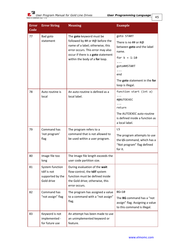*User Program Manual for Gold Line Drives User Programming Language MAN-G-USRPGM (Ver. 1.3)* 

| <b>Error</b><br>Code | <b>Error String</b>                                              | <b>Meaning</b>                                                                                                                                                                                               | <b>Example</b>                                                                                                                                                           |
|----------------------|------------------------------------------------------------------|--------------------------------------------------------------------------------------------------------------------------------------------------------------------------------------------------------------|--------------------------------------------------------------------------------------------------------------------------------------------------------------------------|
| 77                   | Bad goto<br>statement                                            | The goto keyword must be<br>followed by ## or #@ before the<br>name of a label; otherwise, this<br>error occurs. This error may also<br>occur if there is a goto statement<br>within the body of a for loop. | goto START<br>There is no ## or $#@$<br>between goto and the label<br>name.<br>for $k = 1:10$<br>goto##START<br>end<br>The goto statement in the for<br>loop is illegal. |
| 78                   | Auto routine is<br>local                                         | An auto-routine is defined as a<br>local label.                                                                                                                                                              | function start (int a)<br>#@AUTOEXEC<br>return<br>The AUTOEXEC auto-routine<br>is defined inside a function as<br>a local label.                                         |
| 79                   | Command has<br>'not program'<br>flag                             | The program refers to a<br>command that is not allowed to<br>be used within a user program.                                                                                                                  | LS<br>The program attempts to use<br>the LS command, which has a<br>"Not program" flag defined<br>for it.                                                                |
| 80                   | Image file too<br>long                                           | The Image file length exceeds the<br>user code partition size.                                                                                                                                               |                                                                                                                                                                          |
| 81                   | System function<br>tdif is not<br>supported by the<br>Gold drive | During evaluation of the wait<br>flow-control, the tdif system<br>function must be defined inside<br>the Gold drive; otherwise, this<br>error occurs.                                                        |                                                                                                                                                                          |
| 82                   | Command has<br>"not assign" flag                                 | The program has assigned a value<br>to a command with a "not assign"<br>flag.                                                                                                                                | $BG=10$<br>The BG command has a "not<br>assign" flag. Assigning a value<br>to this command is illegal.                                                                   |
| 83                   | Keyword is not<br>implemented -<br>for future use                | An attempt has been made to use<br>an unimplemented keyword or<br>feature.                                                                                                                                   |                                                                                                                                                                          |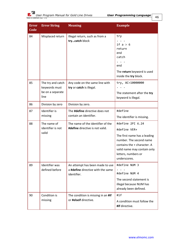

| <b>Error</b><br>Code | <b>Error String</b>                                            | <b>Meaning</b>                                                                      | <b>Example</b>                                                                                                                                                                                   |
|----------------------|----------------------------------------------------------------|-------------------------------------------------------------------------------------|--------------------------------------------------------------------------------------------------------------------------------------------------------------------------------------------------|
| 84                   | Misplaced return                                               | Illegal return, such as from a<br>trycatch block                                    | try<br>if $a > 6$<br>return<br>end<br>catch<br>end<br>The return keyword is used<br>inside the try block.                                                                                        |
| 85                   | The try and catch<br>keywords must<br>be on a separate<br>line | Any code on the same line with<br>try or catch is illegal.                          | try, AC=10000000<br>The statement after the try<br>keyword is illegal.                                                                                                                           |
| 86                   | Division by zero                                               | Division by zero.                                                                   |                                                                                                                                                                                                  |
| 87                   | Identifier is<br>missing                                       | The #define directive does not<br>contain an identifier.                            | #define<br>The identifier is missing.                                                                                                                                                            |
| 88                   | The name of<br>identifier is not<br>valid                      | The name of the identifier of the<br>#define directive is not valid.                | #define 2PI 6.24<br>#define VER+<br>The first name has a leading<br>number. The second name<br>contains the + character. A<br>valid name may contain only<br>letters, numbers or<br>underscores. |
| 89                   | Identifier was<br>defined before                               | An attempt has been made to use<br>a #define directive with the same<br>identifier. | #define NUM 3<br>#define NUM 4<br>The second statement is<br>illegal because NUM has<br>already been defined.                                                                                    |
| 90                   | Condition is<br>missing                                        | The condition is missing in an #if<br>or #elseif directive.                         | #if<br>A condition must follow the<br>#if directive.                                                                                                                                             |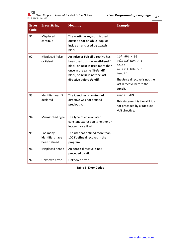| <b>Error</b><br>Code | <b>Error String</b>                                                                                                                                                                                                                      | <b>Meaning</b>                                                                                           | <b>Example</b>                                                                                  |
|----------------------|------------------------------------------------------------------------------------------------------------------------------------------------------------------------------------------------------------------------------------------|----------------------------------------------------------------------------------------------------------|-------------------------------------------------------------------------------------------------|
| 91                   | Misplaced<br>continue                                                                                                                                                                                                                    | The continue keyword is used<br>outside a for or while loop, or<br>inside an unclosed trycatch<br>block. |                                                                                                 |
| 92                   | An #else or #elseif directive has<br>Misplaced #else<br>or #elseif<br>been used outside an #if-#endif<br>block, or #else is used more than<br>once in the same #if-#endif<br>block, or #else is not the last<br>directive before #endif. | #if NUM $> 10$<br>#elseif NUM > 5<br>#else<br>#elseif NUM > 3<br>#endif                                  |                                                                                                 |
|                      |                                                                                                                                                                                                                                          |                                                                                                          | The <b>#else</b> directive is not the<br>last directive before the<br>#endif.                   |
| 93                   | Identifier wasn't<br>declared                                                                                                                                                                                                            | The identifier of an #undef<br>directive was not defined<br>previously.                                  | #undef NUM<br>This statement is illegal if it is<br>not preceded by a #define<br>NUM directive. |
| 94                   | Mismatched type                                                                                                                                                                                                                          | The type of an evaluated<br>constant expression is neither an<br>integer nor a float.                    |                                                                                                 |
| 95                   | Too many<br>identifiers have<br>been defined                                                                                                                                                                                             | The user has defined more than<br>100 #define directives in the<br>program.                              |                                                                                                 |
| 96                   | Misplaced #endif                                                                                                                                                                                                                         | An #endif directive is not<br>preceded by #if.                                                           |                                                                                                 |
| 97                   | Unknown error                                                                                                                                                                                                                            | Unknown error.                                                                                           |                                                                                                 |

**Table 5: Error Codes**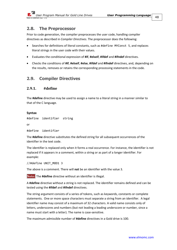# **2.8. The Preprocessor**

Prior to code generation, the compiler preprocesses the user code, handling compiler directives as described in *[Compiler Directives](#page-47-0)*. The preprocessor does the following:

- Searches for definitions of literal constants, such as #define MYConst 5, and replaces literal strings in the user code with their values.
- Evaluates the conditional expression of **#if**, **#elseif**, **#ifdef** and **#ifndef** directives.
- Checks the conditions of **#if**, **#elseif**, **#else**, **#ifdef** and **#ifndef** directives, and, depending on the results, removes or retains the corresponding processing statements in the code.

# <span id="page-47-0"></span>**2.9. Compiler Directives**

# **2.9.1. #define**

The **#define** directive may be used to assign a name to a literal string in a manner similar to that of the C language.

## **Syntax**

```
#define identifier string
```
or

```
#define identifier
```
The **#define** directive substitutes the defined string for all subsequent occurrences of the identifier in the text code.

The identifier is replaced only when it forms a real occurrence. For instance, the identifier is not replaced if it appears in a comment, within a string or as part of a longer identifier. For example:

//#define UNIT\_MOD1 3

The above is a comment. There will **not** be an identifier with the value 3.

**Note:** The **#define** directive without an identifier is illegal.

A **#define** directive without a string is not replaced. The identifier remains defined and can be tested using the **#ifdef** and **#ifndef** directives.

The string argument consists of a series of tokens, such as keywords, constants or complete statements. One or more space characters must separate a string from an identifier. A legal identifier name may consist of a maximum of 32 characters. A valid name consists only of letters, underscores and numbers (but not leading a leading underscore or number, since a name must start with a letter). The name is case-sensitive.

The maximum admissible number of **#define** directives in a Gold drive is 100.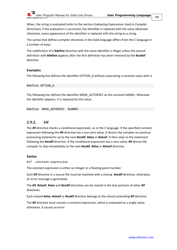

When the string is evaluated (refer to the section *[Evaluating Expressions Used in Compiler](#page-52-0)  [Directives](#page-52-0)*), if the evaluation is successful, the identifier is replaced with the value obtained; otherwise, every appearance of the identifier is replaced with the string as a string.

The syntax that defines compiler directives in the Gold language differs from the C language in a number of ways.

The redefinition of a **#define** directive with the same identifier is illegal unless the second definition with **#define** appears after the first definition has been removed by the **#undef** directive.

## **Examples**

The following line defines the identifier OPTION\_A without associating a constant value with it.

#### #define OPTION\_A

The following line defines the identifier MASK\_AUTOEXEC as the constant 0x0001. Wherever the identifier appears, it is replaced by this value.

#define MASK\_AUTOEXEC 0x0001

# **2.9.2. #if**

The **#if** directive checks a conditional expression, as in the C language. If the specified constant expression following the **#if** directive has a non-zero value, it directs the compiler to continue processing statements up to the next **#endif**, **#else** or **#elseif**. It then skips to the statement following the **#endif** directive. If the conditional expression has a zero value, **#if** directs the compiler to skip immediately to the next **#endif**, **#else** or **#elseif** directive.

#### **Syntax**

#if constant-expression

The constant expression is either an integer or a floating-point number.

Each **#if** directive in a source file must be matched with a closing **#endif** directive; otherwise, an error message is generated.

The **#if**, **#elseif**, **#else** and **#endif** directives can be nested in the text portions of other **#if** directives.

Each nested **#else**, **#elseif** or **#endif** directive belongs to the closest preceding **#if** directive.

The **#if** directive must contain a constant expression, which is evaluated to a single value; otherwise, it causes an error.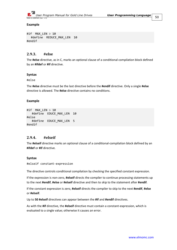

#### **Example**

```
#if MAX_LEN > 10
  #define REDUCE_MAX_LEN 10
#endif
```
## **2.9.3. #else**

The **#else** directive, as in C, marks an optional clause of a conditional compilation block defined by an **#ifdef** or **#if** directive.

#### **Syntax**

#else

The **#else** directive must be the last directive before the **#endif** directive. Only a single **#else** directive is allowed. The **#else** directive contains no conditions.

#### **Example**

```
#if MAX_LEN > 10
   #define EDUCE_MAX_LEN 10
#else
   #define EDUCE_MAX_LEN 5
#endif
```
# **2.9.4. #elseif**

The **#elseif** directive marks an optional clause of a conditional-compilation block defined by an **#ifdef** or **#if** directive.

#### **Syntax**

#elseif constant-expression

The directive controls conditional compilation by checking the specified constant expression.

If the expression is non-zero, **#elseif** directs the compiler to continue processing statements up to the next **#endif**, **#else** or **#elseif** directive and then to skip to the statement after **#endif**.

If the constant expression is zero, **#elseif** directs the compiler to skip to the next **#endif**, **#else** or **#elseif**.

Up to **50 #elseif** directives can appear between the **#if** and **#endif** directives.

As with the **#if** directive, the **#elseif** directive must contain a constant-expression, which is evaluated to a single value; otherwise it causes an error.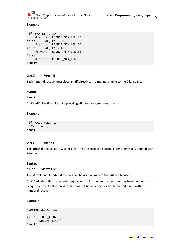

#### **Example**

```
#if MAX_LEN > 30
     #define REDUCE_MAX_LEN 30
#elseif MAX_LEN > 20
     #define REDUCE_MAX_LEN 20
#elseif MAX LEN > 10 #define REDUCe_MAX_LEN 10
#else
     #define REDUCE_MAX_LEN 5
#endif
```
# **2.9.5. #endif**

Each **#endif** directive must close an **#if** directive, in a manner similar to the C language.

## **Syntax**

#endif

An **#endif** directive without a precding **#if** directive generates an error.

#### **Example**

```
#if CALL_FUNC 1
  Call_func()
#endif
```
# **2.9.6. #ifdef**

The **#ifdef** directive, as in C, checks for the presence of a specified identifier that is defined with **#define**.

#### **Syntax**

```
#ifdef identifier
```
The #**ifdef** and #**ifndef** directives can be used anywhere that #**if** can be used.

An #**ifdef** identifier statement is equivalent to #**if** 1 when the identifier has been defined, and it is equivalent to #**if** 0 when identifier has not been defined or has been undefined with the #**undef** directive.

#### **Example**

```
#define DEBUG_FLAG
. . .
#ifdef DEBUG_FLAG
        DbgBrkPoint()
#endif
```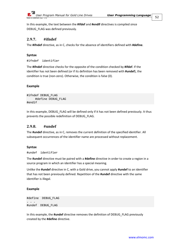

In this example, the text between the **#ifdef** and **#endif** directives is compiled since DEBUG\_FLAG was defined previously.

# **2.9.7. #ifndef**

The **#ifndef** directive, as in C, checks for the absence of identifiers defined with **#define**.

## **Syntax**

#ifndef identifier

The **#ifndef** directive checks for the opposite of the condition checked by **#ifdef**. If the identifier has not been defined (or if its definition has been removed with **#undef**), the condition is true (non-zero). Otherwise, the condition is false (0).

## **Example**

```
#ifndef DEBUG_FLAG
      #define DEBUG_FLAG
#endif
```
In this example, DEBUG FLAG will be defined only if it has not been defined previously. It thus prevents the possible redefinition of DEBUG\_FLAG.

# **2.9.8. #undef**

The **#undef** directive, as in C, removes the current definition of the specified identifier. All subsequent occurrences of the identifier name are processed without replacement.

#### **Syntax**

```
#undef identifier
```
The **#undef** directive must be paired with a **#define** directive in order to create a region in a source program in which an identifier has a special meaning.

Unlike the **#undef** directive in C, with a Gold drive, you cannot apply **#undef** to an identifier that has not been previously defined. Repetition of the **#undef** directive with the same identifier is illegal.

#### **Example**

```
#define DEBUG_FLAG
. . .
#undef DEBUG_FLAG
```
In this example, the **#undef** directive removes the definition of DEBUG\_FLAG previously created by the **#define** directive.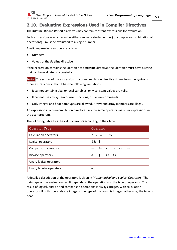

# <span id="page-52-0"></span>**2.10. Evaluating Expressions Used in Compiler Directives**

The **#define**, **#if** and **#elseif** directives may contain constant expressions for evaluation.

Such expressions – which may be either simple (a single number) or complex (a combination of operations) – must be evaluated to a single number.

A valid expression can operate only with:

- Numbers
- Values of the **#define** directive.

If the expression contains the identifier of a **#define** directive, the identifier must have a string that can be evaluated successfully.

**Note:** The syntax of the expression of a pre-compilation directive differs from the syntax of other expressions in that it has the following limitations:

- It cannot contain global or local variables; only constant values are valid.
- It cannot use any system or user functions, or system commands.
- Only integer and float data types are allowed. Arrays and array members are illegal.

An expression in a pre-compilation directive uses the same operators as other expressions in the user program.

| <b>Operator Type</b>         | <b>Operator</b>                                                 |
|------------------------------|-----------------------------------------------------------------|
| <b>Calculation operators</b> | $\ast$<br>$/ = -$ %                                             |
| Logical operators            | &&<br>$\mathbf{I}$                                              |
| Comparison operators         | $\langle \rangle$ $\langle \rangle$ $\langle =$<br>$!=$<br>$>=$ |
| <b>Bitwise operators</b>     | &<br>$\mathbf{L}$<br>- << >>                                    |
| Unary logical operators      |                                                                 |
| Unary bitwise operators      | $\sim$                                                          |

The following table lists the valid operators according to their type.

A detailed description of the operators is given in *[Mathematical and Logical Operators](#page-8-0)*. The data type of the evaluation result depends on the operation and the type of operands. The result of logical, bitwise and comparison operations is always integer. With calculation operators, if both operands are integers, the type of the result is integer; otherwise, the type is float.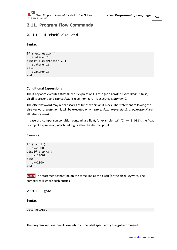

# **2.11. Program Flow Commands**

# **2.11.1. if**…**elseif**…**else**…**end**

# **Syntax**

```
if ( expression )
    statement1
elseif ( expression 2 )
    statement2
else
    statement3
end
```
# **Conditional Expressions**

The **if** keyword executes *statement1* if expression1 is true (non-zero); if *expression1* is false, **elseif** is present, and *expression2* is true (non-zero), it executes *statement2*.

The **elseif** keyword may repeat scores of times within an **if** block. The statement following the **else** keyword, *statement3*, will be executed only if *expression1*, *expression2*, … *expressionN* are all false (or zero).

In case of a comparison condition containing a float, for example,  $if (I == 0.001)$ , the float is subject to precision, which is 4 digits after the decimal point.

# **Example**

```
if ( a==1 )
    px=1000
elseif ( a==3 )
    px=10000
else
    px=2000
end
```
**Note:** The statement cannot be on the same line as the **elseif** (or the **else**) keyword. The compiler will ignore such entries.

# **2.11.2. goto**

# **Syntax**

goto ##LABEL

The program will continue its execution at the label specified by the **goto** command.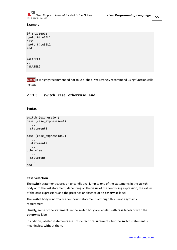

## **Example**

```
if (PX>1000)
 goto ##LABEL1
else
 goto ##LABEL2
end
##LABEL1
...
##LABEL2
...
```
**Note:** It is highly recommended not to use labels. We strongly recommend using function calls instead.

# **2.11.3. switch...case...otherwise...end**

## **Syntax**

```
switch (expression)
case (case_expression1)
   ...
   statement1
   ...
case (case_expression2)
   ...
   statement2
   ...
otherwise
   ...
   statement
   ...
end
```
# **Case Selection**

The **switch** statement causes an unconditional jump to one of the statements in the **switch** body or to the last statement, depending on the value of the controlling expression, the values of the **case** expressions and the presence or absence of an **otherwise** label.

The **switch** body is normally a compound statement (although this is not a syntactic requirement).

Usually, some of the statements in the switch body are labeled with **case** labels or with the **otherwise** label.

In addition, labeled statements are not syntactic requirements, but the **switch** statement is meaningless without them.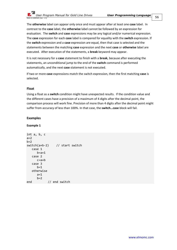The **otherwise** label can appear only once and must appear after at least one **case** label. In contrast to the **case** label, the **otherwise** label cannot be followed by an expression for evaluation. The **switch** and **case** expressions may be any logical and/or numerical expression. The **case** expression for each **case** label is compared for equality with the **switch** expression. If the **switch** expression and a **case** expression are equal, then that case is selected and the statements between the matching **case** expression and the next **case** or **otherwise** label are executed. After execution of the statements, a **break** keyword may appear.

It is not necessary for a **case** statement to finish with a **break**, because after executing the statements, an unconditional jump to the end of the **switch** command is performed automatically, and the next **case** statement is not executed.

If two or more **case** expressions match the switch expression, then the first matching **case** is selected.

#### **Float**

Using a float as a **switch** condition might have unexpected results. If the condition value and the different cases have a precision of a maximum of 4 digits after the decimal point, the comparison process will work fine. Precision of more than 4 digits after the decimal point might suffer from accuracy of less than 100%. In that case, the **switch…case** block will fail.

#### **Examples**

**Example 1**

```
int a, b, c
a=2b=2switch(a+b-2) // start switch
   case 1
     b=a+1 case 2
      c=a+b
   case 3
     b=1 otherwise
     a=1b=2end // end switch
```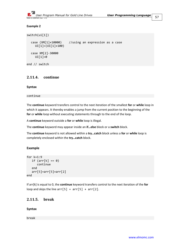

## **Example 2**

```
switch(ui[1])
  case (XM[1]+10000) //using an expression as a case
    UI[1]=(UI[1]+100)
  case XM[2]-30000
    UI[1]=0end // switch
```
# **2.11.4. continue**

#### **Syntax**

continue

The **continue** keyword transfers control to the next iteration of the smallest **for** or **while** loop in which it appears. It thereby enables a jump from the current position to the beginning of the **for** or **while** loop without executing statements through to the end of the loop.

A **continue** keyword outside a **for** or **while** loop is illegal.

The **continue** keyword may appear inside an **if…else** block or a **switch** block.

The **continue** keyword is not allowed within a **try…catch** block unless a **for** or **while** loop is completely enclosed within the **try…catch** block.

# **Example**

```
for k=1:9
   if (\text{arr}[k] == 0) continue
    end
    arr[5]=arr[5]+arr[2]
end
```
If arr[k] is equal to 0, the **continue** keyword transfers control to the next iteration of the **for** loop and skips the line  $arr[5] = arr[5] + arr[2]$ .

# **2.11.5. break**

#### **Syntax**

break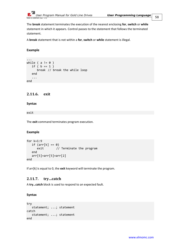

The **break** statement terminates the execution of the nearest enclosing **for**, **switch** or **while** statement in which it appears. Control passes to the statement that follows the terminated statement.

A **break** statement that is not within a **for**, **switch** or **while** statement is illegal.

## **Example**

```
...
while ( a := 0 )
   if ( b == 1 )
       break // break the while loop
    end
    ...
end
```
# **2.11.6. exit**

#### **Syntax**

## exit

The **exit** command terminates program execution.

#### **Example**

```
for k=1:9
  if (\text{arr}[k] == 0)exit // Terminate the program
   end
   arr[5]=arr[5]+arr[2]
end
```
If arr[k] is equal to 0, the **exit** keyword will terminate the program.

# **2.11.7. try…catch**

A **try…catch** block is used to respond to an expected fault.

#### **Syntax**

```
try
    statement; ...; statement
catch
    statement; ...; statement
end
```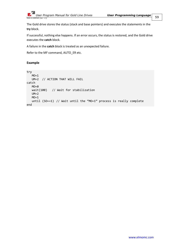

The Gold drive stores the status (stack and base pointers) and executes the statements in the **try** block.

If successful, nothing else happens. If an error occurs, the status is restored, and the Gold drive executes the **catch** block.

A failure in the **catch** block is treated as an unexpected failure.

Refer to the MF command, [AUTO\\_ER](#page-63-0) etc.

## **Example**

```
try
   MO=1 UM=2 // ACTION THAT WILL FAIL
catch
  MO = <i>0</i> wait(100) // Wait for stabilization
  UM=2MO=1 until (SO==1) // Wait until the "MO=1" process is really complete
end
```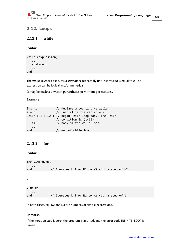# **2.12. Loops**

# **2.12.1. while**

#### **Syntax**

```
while (expression)
    ...
    statement
    ...
end
```
The **while** keyword executes a *statement* repeatedly until *expression* is equal to 0. The expression can be logical and/or numerical.

It may be enclosed within parentheses or without parentheses.

## **Example**

```
int i // declare a counting variable
i = 0 // initialize the variable i
while ( i < 10 ) // begin while loop body. The while
               // condition is (i<10)
   i++ // body of the while loop
   ...
end // end of while loop
```
# **2.12.2. for**

#### **Syntax**

```
for k=N1:N2:N3
 ...
end // Iterates k from N1 to N3 with a step of N2.
```
or

```
k=N1:N2
 ...
end // Iterates k from N1 to N2 with a step of 1.
```
In both cases, N1, N2 and N3 are numbers or simple expressions.

#### **Remarks**

If the iteration step is zero, the program is aborted, and the error code INFINITE\_LOOP is issued.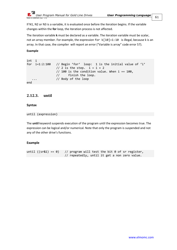

If N1, N2 or N3 is a variable, it is evaluated once before the iteration begins. If the variable changes within the **for** loop, the iteration process is not affected.

The iteration variable **k** must be declared as a variable. The iteration variable must be scalar, not an array member. For example, the expression for k[10]=1:10 is illegal, because k is an array. In that case, the compiler will report an error ("Variable is array" code error 57).

**Example**

```
int i<br>for i=1:2:100
                 // Begin 'for' loop: 1 is the initial value of 'i'
                 // 2 is the step. i = i + 2// 100 is the condition value. When i = 100,
                  // finish the loop.
                 // Body of the loop
end
```
# **2.12.3. until**

# **Syntax**

```
until (expression)
```
The **until** keyword suspends execution of the program until the expression becomes true. The expression can be logical and/or numerical. Note that only the program is suspended and not any of the other drive's functions.

# **Example**

until  $((sr&1) == 0)$  // program will test the bit 0 of sr register, // repeatedly, until it get a non zero value.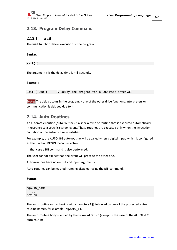# **2.13. Program Delay Command**

# **2.13.1. wait**

The **wait** function delays execution of the program.

#### **Syntax**

 $wait(x)$ 

The argument *x* is the delay time is milliseconds.

## **Example**

wait (200) // delay the program for a 200 msec interval

**Note:** The delay occurs in the program. None of the other drive functions, interpreters or communication is delayed due to it.

# **2.14. Auto-Routines**

An automatic routine (auto-routine) is a special type of routine that is executed automatically in response to a specific system event. These routines are executed only when the invocation condition of the auto-routine is satisfied.

For example, the AUTO BG auto-routine will be called when a digital input, which is configured as the function **BEGIN**, becomes active.

In that case a **BG** command is also performed.

The user cannot expect that one event will precede the other one.

Auto-routines have no output and input arguments.

Auto-routines can be masked (running disabled) using the **MI** command.

#### **Syntax**

| #@AUTO_name |  |
|-------------|--|
|             |  |

return

The auto-routine syntax begins with characters #@ followed by one of the protected autoroutine names, for example, #@AUTO\_I1.

The auto-routine body is ended by the keyword **return** (except in the case of the AUTOEXEC auto-routine).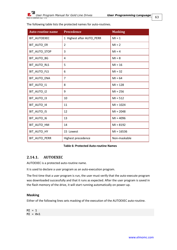| The following table lists the protected names for auto-routines. |  |
|------------------------------------------------------------------|--|
|------------------------------------------------------------------|--|

| <b>Auto-routine name</b> | <b>Precedence</b>         | <b>Masking</b> |
|--------------------------|---------------------------|----------------|
| <b>BIT AUTOEXEC</b>      | 1 Highest after AUTO_PERR | $MI = 1$       |
| BIT AUTO ER              | $\overline{2}$            | $MI = 2$       |
| BIT_AUTO_STOP            | 3                         | $MI = 4$       |
| BIT AUTO BG              | 4                         | $MI = 8$       |
| BIT_AUTO_RLS             | 5                         | $MI = 16$      |
| BIT_AUTO_FLS             | 6                         | $MI = 32$      |
| BIT_AUTO_ENA             | $\overline{7}$            | $MI = 64$      |
| BIT_AUTO_I1              | 8                         | $MI = 128$     |
| BIT_AUTO_I2              | 9                         | $MI = 256$     |
| BIT_AUTO_I3              | 10                        | $MI = 512$     |
| BIT_AUTO_I4              | 11                        | $MI = 1024$    |
| BIT_AUTO_I5              | 12                        | $MI = 2048$    |
| BIT_AUTO_I6              | 13                        | $MI = 4096$    |
| BIT_AUTO_HM              | 14                        | $MI = 8192$    |
| BIT_AUTO_HY              | 15 Lowest                 | $MI = 16536$   |
| BIT_AUTO_PERR            | Highest precedence        | Non-maskable   |

#### **Table 6: Protected Auto-routine Names**

# **2.14.1. AUTOEXEC**

AUTOEXEC is a protected auto-routine name.

It is used to declare a user program as an auto-execution program.

The first time that a user program is run, the user must verify that the auto-execute program was downloaded successfully and that it runs as expected. After the user program is saved in the flash memory of the drive, it will start running automatically on power-up.

#### **Masking**

Either of the following lines sets masking of the execution of the AUTOEXEC auto-routine.

 $MI = 1$  $MI = 0x1$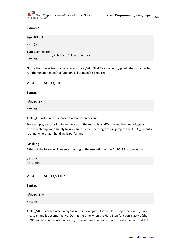

#### **Example**

```
#@AUTOEXEC
main()
function main()
    ... // body of the program
Return
```
Notice that the virtual machine refers to <#@AUTOEXEC> as an entry point label. In order to run the function main(), a function call to main() is required.

# <span id="page-63-0"></span>**2.14.2. AUTO\_ER**

#### **Syntax**

```
#@AUTO_ER
     ...
return
```
AUTO\_ER will run in response to a motor fault event.

For example, a motor fault event occurs if the motor is on (MO==1) and the bus voltage is disconnected (power-supply failure). In this case, the program will jump to the AUTO\_ER autoroutine, where fault handling is performed.

#### **Masking**

Either of the following lines sets masking of the execution of the AUTO\_ER auto-routine.

 $MT = 2$  $MI = 0x2$ 

# **2.14.3. AUTO\_STOP**

**Syntax**

#@AUTO\_STOP ... return

AUTO\_STOP is called when a digital input is configured for the Hard Stop function (**IL[***n***]** = 21, *n*=1 to 6) and it becomes active. During the time when the Hard Stop function is active (the STOP switch is held continuously on, for example), the motor motion is stopped and held (if it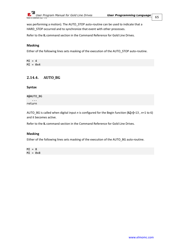

was performing a motion). The AUTO STOP auto-routine can be used to indicate that a HARD\_STOP occurred and to synchronize that event with other processes.

Refer to the **IL** command section in the Command Reference for Gold Line Drives.

## **Masking**

Either of the following lines sets masking of the execution of the AUTO\_STOP auto-routine.

 $MI = 4$  $MI = 0x4$ 

# **2.14.4. AUTO\_BG**

#### **Syntax**

| #@AUTO_BG |  |
|-----------|--|
| $\cdots$  |  |
| return    |  |

AUTO\_BG is called when digital input *n* is configured for the Begin function (**IL[***n***]**=13 , *n*=1 to 6) and it becomes active.

Refer to the **IL** command section in the Command Reference for Gold Line Drives.

#### **Masking**

Either of the following lines sets masking of the execution of the AUTO\_BG auto-routine.

 $MI = 8$  $MI = 0x8$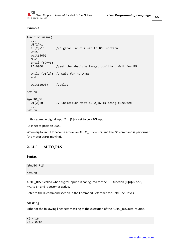# **Example**

```
function main()
  ...
  UI[2] = 1IL[2]=13 //Digital input 2 set to BG function
  UM=5
  wait(200)
  MO=1until (SO==1)
  PA=9000 //set the absolute target position. Wait for BG
  while (UI[2]) // Wait for AUTO_BG
  end
  wait(2000) //delay
  ...
return
#@AUTO_BG
  UI[2]=0 // indication that AUTO_BG is being executed
  ...
return
```
In this example digital input 2 (**IL[2]**) is set to be a **BG** input.

**PA** is set to position 9000.

When digital input 2 become active, an AUTO\_BG occurs, and the **BG** command is performed (the motor starts moving).

# **2.14.5. AUTO\_RLS**

**Syntax**

#@AUTO\_RLS ... return

AUTO\_RLS is called when digital input *n* is configured for the RLS function (**IL[***n***]**=9 or 8, *n*=1 to 6) and it becomes active.

Refer to the **IL** command section in the Command Reference for Gold Line Drives.

#### **Masking**

Either of the following lines sets masking of the execution of the AUTO\_RLS auto-routine.

 $MI = 16$  $MI = 0x10$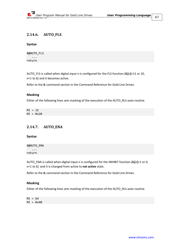# **2.14.6. AUTO\_FLS**

#### **Syntax**

| #@AUTO_FLS |
|------------|
| .          |
| return     |

AUTO\_FLS is called when digital input *n* is configured for the FLS function (**IL[***n***]**=11 or 10, *n*=1 to 6) and it becomes active.

Refer to the **IL** command section in the Command Reference for Gold Line Drives.

#### **Masking**

Either of the following lines sets masking of the execution of the AUTO\_RLS auto-routine.

 $MI = 32$  $MI = 0x20$ 

# **2.14.7. AUTO\_ENA**

**Syntax**

#@AUTO\_ENA ... return

AUTO\_ENA is called when digital input *n* is configured for the INHIBIT function (**IL[***n***]**=1 or 0, *n*=1 to 6) and it is changed from active to **not active** state.

Refer to the **IL** command section in the Command Reference for Gold Line Drives.

## **Masking**

Either of the following lines sets masking of the execution of the AUTO\_RLS auto-routine.

 $MI = 64$  $MI = 0x40$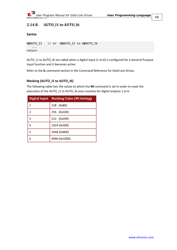

# **2.14.8. AUTO\_I1 to AUTO\_I6**

```
Syntax
```

```
#@AUTO_I1 // or #@AUTO_I2 to #@AUTO_I6
    ...
return
```
AUTO\_I1 to AUTO\_I6 are called when a digital input (1 to 6) is configured for a General Purpose Input function and it becomes active.

Refer to the **IL** command section in the Command Reference for Gold Line Drives.

# **Masking (AUTO\_I1 to AUTO\_I6)**

The following table lists the values to which the **MI** command is set in order to mask the execution of the AUTO\_I1 to AUTO\_I6 auto-routines for digital outputs 1 to 6.

|               | Digital Input Masking Value (MI Setting) |
|---------------|------------------------------------------|
| 1             | 128 (0x80)                               |
| $\mathcal{P}$ | 256 (0x100)                              |
| 3             | 512 (0x200)                              |
| 4             | 1024 (0x400)                             |
| 5             | 2048 (0x800)                             |
| 6             | 4096 (0x1000)                            |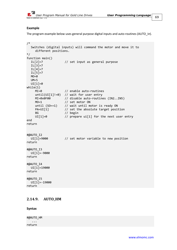

## **Example**

The program example below uses general purpose digital inputs and auto-routines (AUTO\_I*n*).

```
/*
  Switches (digital inputs) will command the motor and move it to
      different positions.
*/
function main()<br>IL[2]=7
                     // set input as general purpose
  IL[3]=7
  IL[4]=7IL[5]=7
  MO = <i>0</i>UM=5UI[1]=0while(1)
     MI=0 // enable auto-routines
     until(UI[1]!=0) // wait for user entry
    MI=0x0F00 // disable auto-routines (IN2..IN5)
    MO=1 // set motor ON
    until (SO==1) // wait until motor is ready ON<br>PA=UI[1] // set the absolute target posi
                     1/ set the absolute target position
     BG // begin
     UI[1]=0 // prepare ui[1] for the next user entry
end
return
#@AUTO_I2
  UI[1]=9000 // set motor variable to new position
return
#@AUTO_I3
  UI[1]=-9000
return
#@AUTO_I4
  UI[1]=19000
return
#@AUTO_I5
  UI[1]=-19000
return
```
# **2.14.9. AUTO\_HM**

**Syntax**

#@AUTO\_HM ... return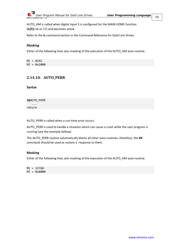

AUTO HM is called when digital input 5 is configured for the MAIN HOME function (**IL[5]**=16 or 17) and becomes active.

Refer to the **IL** command section in the Command Reference for Gold Line Drives.

## **Masking**

Either of the following lines sets masking of the execution of the AUTO\_HM auto-routine.

MI = 8192 MI = 0x2000

# <span id="page-69-0"></span>**2.14.10. AUTO\_PERR**

**Syntax**

#@AUTO\_PERR ... return

AUTO\_PERR is called when a run-time error occurs.

AUTO\_PERR is used to handle a situation which can cause a crash while the user program is running (see the example bellow).

The AUTO\_PERR routine automatically blocks all other auto-routines; therefore, the **MI** command should be used to restore a response to them.

#### **Masking**

Either of the following lines sets masking of the execution of the AUTO\_HM auto-routine.

MI = 32768 MI = 0x8000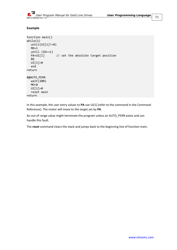

## **Example**

```
function main()
while(1)
  until(UI[1]!=0)MO=1until (SO==1)PA=UI[1] // set the absolute target position
  BG
  UI[1]=0
  end
return
#@AUTO_PERR
  wait(200)
  MO = <i>0</i>UI[1]=0
  reset main
return
```
In this example, the user entry values to **PA** use UI[1] (refer to the command in the Command Reference). The motor will move to the target set by **PA**.

An out of range value might terminate the program unless an AUTO\_PERR exists and can handle this fault.

The **reset** command clears the stack and jumps back to the beginning line of function main.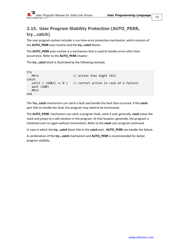# **2.15. User Program Stability Protection (AUTO\_PERR, try…catch)**

The user program system includes a run-time error protection mechanism, which consists of the **AUTO\_PERR** auto-routine and the **try…catch** blocks.

The **AUTO\_PERR** auto-routine is a mechanism that is used to handle errors after their occurrence. Refer to the **[AUTO\\_PERR](#page-69-0)** chapter.

The **try…catch** block is illustrated by the following example.

```
try
  MO=1 // action that might fail
catch
  until ( (SR&1) == 0 ) // correct action in case of a failure
   wait (100)
  MO=1end
```
The **Try…catch** mechanism can catch a fault and handle the fault that occurred. If the **catch** part fails to handle the fault, the program may need to be terminated.

The **AUTO\_PERR** mechanism can catch a program fault, solve it and, generally, **reset** (clear the stack and jump) to a safe location in the program. At that location, generally, the program is initialized and run again without termination. Refer to the **reset** user program command.

In case in which the **try...catch** block fails in the **catch** part, **AUTO\_PERR** can handle the failure.

A combination of the **try...catch** mechanism and **AUTO\_PERR** is recommended for better program stability.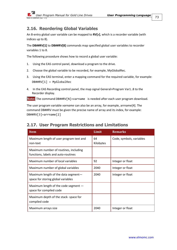73

## **2.16. Reordering Global Variables**

An 8-entry global user variable can be mapped to **RV[***x***]**, which is a recorder variable (with indices up to 8).

The **DB##RV[1]** to **DB##RV[8]** commands map specified global user variables to recorder variables 1 to 8.

The following procedure shows how to record a global user variable:

- 1. Using the EAS control panel, download a program to the drive.
- 2. Choose the global variable to be recorded, for example, MyGlobalRec.
- 3. Using the EAS terminal, enter a mapping command for the required variable, for example: DB##RV[1] = MyGlobalRec
- 4. In the EAS Recording control panel, the map signal General>Program Var1..8 to the Recorder display.

**Note:** The command DB##RV[N]=varname is needed after each user program download.

The user program variable *varname* can also be an array, for example, arrname[4]. The command DB##RV must be given the precise name of array and its index, for example: DB##RV[3]=arrname[2]

## **2.17. User Program Restrictions and Limitations Item Limit Remarks** Maximum length of user program text and non-text 64 Kilobytes Code, symbols, variables Maximum number of routines, including functions, labels and auto-routines Maximum number of local variables 192 and 192 Integer or float Maximum number of global variables 2040 | Integer or float Maximum length of the data segment space for storing global variables 2040 | Integer or float Maximum length of the code segment space for compiled code Maximum depth of the stack- space for compiled code Maximum arrays size **Integent and Allen Control** 2040 Integer or float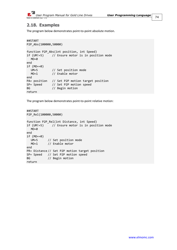

## **2.18. Examples**

The program below demonstrates point-to-point absolute motion.

```
##START
P2P_Abs(100000,50000)
function P2P_Abs(int position, int Speed)
if (UM!=5) // Ensure motor is in position mode
  MO = <i>0</i>end
if (MO==0)
  UM=5 // Set position mode<br>MO=1 // Enable motor
             // Enable motor
end
PA= position // Set P2P motion target position
SP= Speed // Set P2P motion speed
BG // Begin motion
return
```
The program below demonstrates point-to-point relative motion:

```
##START
P2P_Rel(100000,50000)
function P2P_Rel(int Distance, int Speed)
if (UM!=5) // Ensure motor is in position mode
  MO = <i>0</i>end
if (MO==0)
  UM=5 // Set position mode
  MO=1 // Enable motor
end
PR= Distance // Set P2P motion target position
SP= Speed // Set P2P motion speed
BG // Begin motion
return
```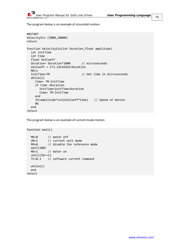

The program below is an example of sinusoidal motion:

```
##START
VelocitySin (5000,20000)
return
function VelocitySin(int Duration,float amplitude)
  int InitTime
  int time
  float VelCoeff
  Duration= Duration*1000 // microseconds
  VelCoeff = 2*3.14159265/Duration
  MO=1<br>InitTime=TM
                                // Get time in microseconds
  while(1)
    time= TM-InitTime
     if time >Duration
       InitTime=InitTime+Duration
       time= TM-InitTime
     end
     JV=amplitude*sin(VelCoeff*time) // Speed of motion
     BG
  end
return
```
The program below is an example of current mode motion:

```
function main()
  MO=0 // motor off
  UM=1 // current unit mode
  RM=0 // disable the reference mode
  wait(100)
  MO=1 // motor on
  until(SO==1)TC=0.1 // software current command
  while(1)
  end
return
```